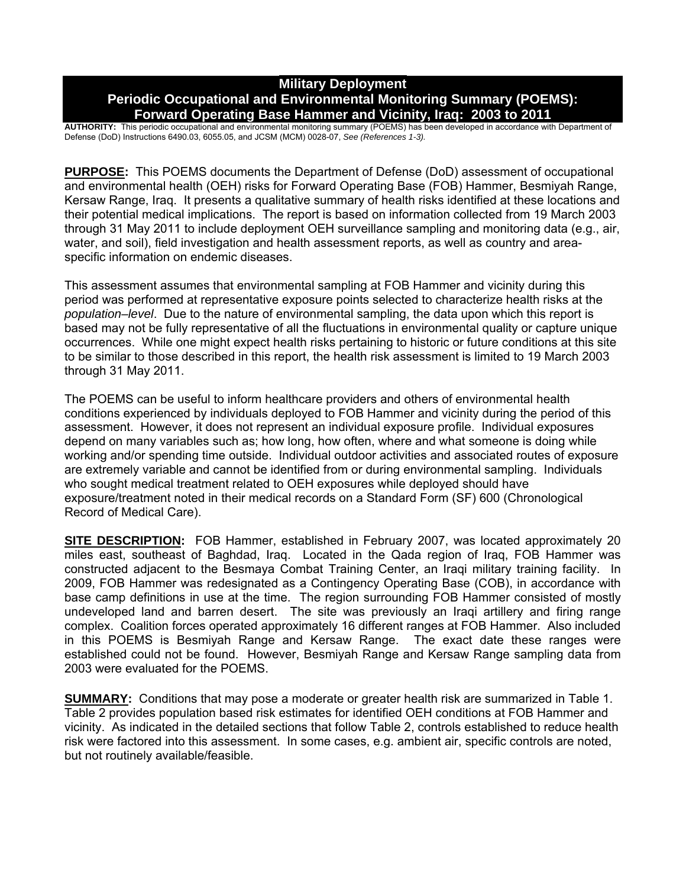# **Military Deployment Periodic Occupational and Environmental Monitoring Summary (POEMS): Forward Operating Base Hammer and Vicinity, Iraq: 2003 to 2011**

**AUTHORITY:** This periodic occupational and environmental monitoring summary (POEMS) has been developed in accordance with Department of Defense (DoD) Instructions 6490.03, 6055.05, and JCSM (MCM) 0028-07, *See (References 1-3).* 

**PURPOSE:** This POEMS documents the Department of Defense (DoD) assessment of occupational and environmental health (OEH) risks for Forward Operating Base (FOB) Hammer, Besmiyah Range, Kersaw Range, Iraq. It presents a qualitative summary of health risks identified at these locations and their potential medical implications. The report is based on information collected from 19 March 2003 through 31 May 2011 to include deployment OEH surveillance sampling and monitoring data (e.g., air, water, and soil), field investigation and health assessment reports, as well as country and areaspecific information on endemic diseases.

This assessment assumes that environmental sampling at FOB Hammer and vicinity during this period was performed at representative exposure points selected to characterize health risks at the *population–level*. Due to the nature of environmental sampling, the data upon which this report is based may not be fully representative of all the fluctuations in environmental quality or capture unique occurrences. While one might expect health risks pertaining to historic or future conditions at this site to be similar to those described in this report, the health risk assessment is limited to 19 March 2003 through 31 May 2011.

The POEMS can be useful to inform healthcare providers and others of environmental health conditions experienced by individuals deployed to FOB Hammer and vicinity during the period of this assessment. However, it does not represent an individual exposure profile. Individual exposures depend on many variables such as; how long, how often, where and what someone is doing while working and/or spending time outside. Individual outdoor activities and associated routes of exposure are extremely variable and cannot be identified from or during environmental sampling. Individuals who sought medical treatment related to OEH exposures while deployed should have exposure/treatment noted in their medical records on a Standard Form (SF) 600 (Chronological Record of Medical Care).

**SITE DESCRIPTION:** FOB Hammer, established in February 2007, was located approximately 20 miles east, southeast of Baghdad, Iraq. Located in the Qada region of Iraq, FOB Hammer was constructed adjacent to the Besmaya Combat Training Center, an Iraqi military training facility. In 2009, FOB Hammer was redesignated as a Contingency Operating Base (COB), in accordance with base camp definitions in use at the time. The region surrounding FOB Hammer consisted of mostly undeveloped land and barren desert. The site was previously an Iraqi artillery and firing range complex. Coalition forces operated approximately 16 different ranges at FOB Hammer. Also included in this POEMS is Besmiyah Range and Kersaw Range. The exact date these ranges were established could not be found. However, Besmiyah Range and Kersaw Range sampling data from 2003 were evaluated for the POEMS.

**SUMMARY:** Conditions that may pose a moderate or greater health risk are summarized in Table 1. Table 2 provides population based risk estimates for identified OEH conditions at FOB Hammer and vicinity. As indicated in the detailed sections that follow Table 2, controls established to reduce health risk were factored into this assessment. In some cases, e.g. ambient air, specific controls are noted, but not routinely available/feasible.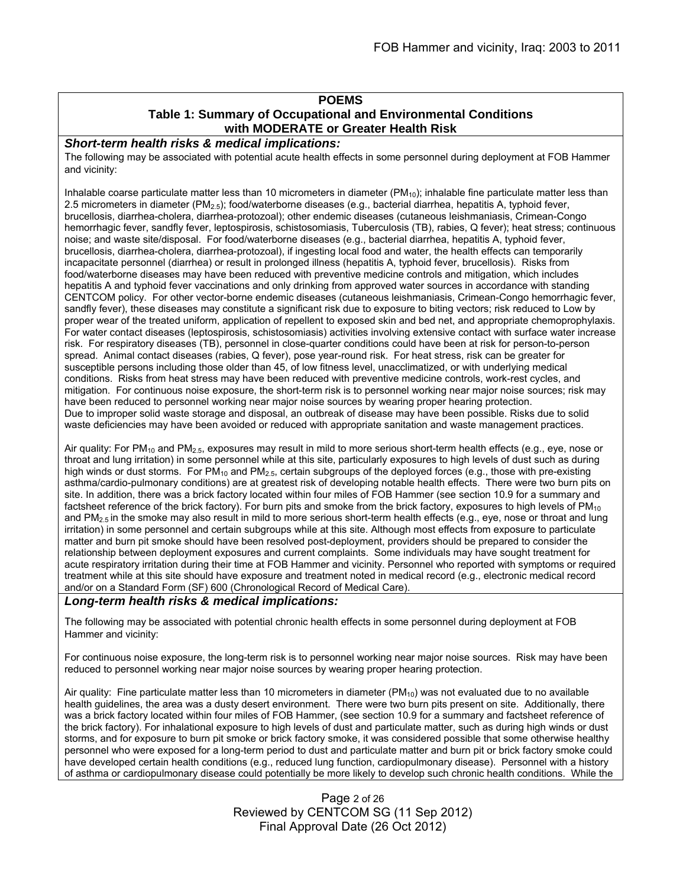## **POEMS**

## **Table 1: Summary of Occupational and Environmental Conditions with MODERATE or Greater Health Risk**

#### *Short-term health risks & medical implications:*

The following may be associated with potential acute health effects in some personnel during deployment at FOB Hammer and vicinity:

Inhalable coarse particulate matter less than 10 micrometers in diameter ( $PM_{10}$ ); inhalable fine particulate matter less than 2.5 micrometers in diameter (PM2.5); food/waterborne diseases (e.g., bacterial diarrhea, hepatitis A, typhoid fever, brucellosis, diarrhea-cholera, diarrhea-protozoal); other endemic diseases (cutaneous leishmaniasis, Crimean-Congo hemorrhagic fever, sandfly fever, leptospirosis, schistosomiasis, Tuberculosis (TB), rabies, Q fever); heat stress; continuous noise; and waste site/disposal. For food/waterborne diseases (e.g., bacterial diarrhea, hepatitis A, typhoid fever, brucellosis, diarrhea-cholera, diarrhea-protozoal), if ingesting local food and water, the health effects can temporarily incapacitate personnel (diarrhea) or result in prolonged illness (hepatitis A, typhoid fever, brucellosis). Risks from food/waterborne diseases may have been reduced with preventive medicine controls and mitigation, which includes hepatitis A and typhoid fever vaccinations and only drinking from approved water sources in accordance with standing CENTCOM policy. For other vector-borne endemic diseases (cutaneous leishmaniasis, Crimean-Congo hemorrhagic fever, sandfly fever), these diseases may constitute a significant risk due to exposure to biting vectors; risk reduced to Low by proper wear of the treated uniform, application of repellent to exposed skin and bed net, and appropriate chemoprophylaxis. For water contact diseases (leptospirosis, schistosomiasis) activities involving extensive contact with surface water increase risk. For respiratory diseases (TB), personnel in close-quarter conditions could have been at risk for person-to-person spread. Animal contact diseases (rabies, Q fever), pose year-round risk. For heat stress, risk can be greater for susceptible persons including those older than 45, of low fitness level, unacclimatized, or with underlying medical conditions. Risks from heat stress may have been reduced with preventive medicine controls, work-rest cycles, and mitigation. For continuous noise exposure, the short-term risk is to personnel working near major noise sources; risk may have been reduced to personnel working near major noise sources by wearing proper hearing protection. Due to improper solid waste storage and disposal, an outbreak of disease may have been possible. Risks due to solid waste deficiencies may have been avoided or reduced with appropriate sanitation and waste management practices.

Air quality: For PM<sub>10</sub> and PM<sub>2.5</sub>, exposures may result in mild to more serious short-term health effects (e.g., eye, nose or throat and lung irritation) in some personnel while at this site, particularly exposures to high levels of dust such as during high winds or dust storms. For  $PM_{10}$  and  $PM_{2.5}$ , certain subgroups of the deployed forces (e.g., those with pre-existing asthma/cardio-pulmonary conditions) are at greatest risk of developing notable health effects. There were two burn pits on site. In addition, there was a brick factory located within four miles of FOB Hammer (see section 10.9 for a summary and factsheet reference of the brick factory). For burn pits and smoke from the brick factory, exposures to high levels of  $PM_{10}$ and  $PM_{2.5}$  in the smoke may also result in mild to more serious short-term health effects (e.g., eye, nose or throat and lung irritation) in some personnel and certain subgroups while at this site. Although most effects from exposure to particulate matter and burn pit smoke should have been resolved post-deployment, providers should be prepared to consider the relationship between deployment exposures and current complaints. Some individuals may have sought treatment for acute respiratory irritation during their time at FOB Hammer and vicinity. Personnel who reported with symptoms or required treatment while at this site should have exposure and treatment noted in medical record (e.g., electronic medical record and/or on a Standard Form (SF) 600 (Chronological Record of Medical Care).

#### *Long-term health risks & medical implications:*

The following may be associated with potential chronic health effects in some personnel during deployment at FOB Hammer and vicinity:

For continuous noise exposure, the long-term risk is to personnel working near major noise sources. Risk may have been reduced to personnel working near major noise sources by wearing proper hearing protection.

Air quality: Fine particulate matter less than 10 micrometers in diameter ( $PM_{10}$ ) was not evaluated due to no available health guidelines, the area was a dusty desert environment. There were two burn pits present on site. Additionally, there was a brick factory located within four miles of FOB Hammer, (see section 10.9 for a summary and factsheet reference of the brick factory). For inhalational exposure to high levels of dust and particulate matter, such as during high winds or dust storms, and for exposure to burn pit smoke or brick factory smoke, it was considered possible that some otherwise healthy personnel who were exposed for a long-term period to dust and particulate matter and burn pit or brick factory smoke could have developed certain health conditions (e.g., reduced lung function, cardiopulmonary disease). Personnel with a history of asthma or cardiopulmonary disease could potentially be more likely to develop such chronic health conditions. While the

> Page 2 of 26 Reviewed by CENTCOM SG (11 Sep 2012) Final Approval Date (26 Oct 2012)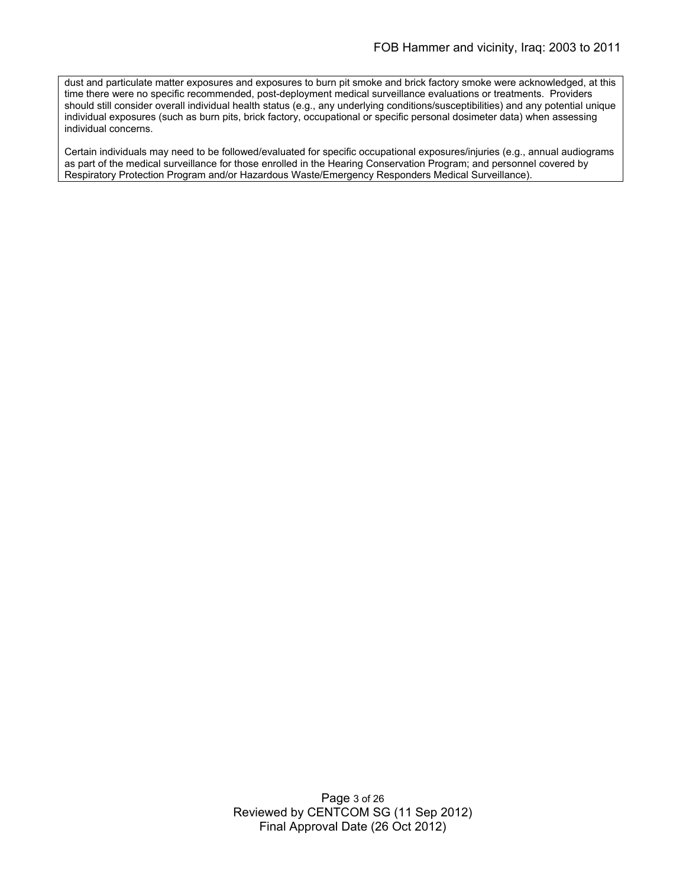dust and particulate matter exposures and exposures to burn pit smoke and brick factory smoke were acknowledged, at this time there were no specific recommended, post-deployment medical surveillance evaluations or treatments. Providers should still consider overall individual health status (e.g., any underlying conditions/susceptibilities) and any potential unique individual exposures (such as burn pits, brick factory, occupational or specific personal dosimeter data) when assessing individual concerns.

Certain individuals may need to be followed/evaluated for specific occupational exposures/injuries (e.g., annual audiograms as part of the medical surveillance for those enrolled in the Hearing Conservation Program; and personnel covered by Respiratory Protection Program and/or Hazardous Waste/Emergency Responders Medical Surveillance).

> Page 3 of 26 Reviewed by CENTCOM SG (11 Sep 2012) Final Approval Date (26 Oct 2012)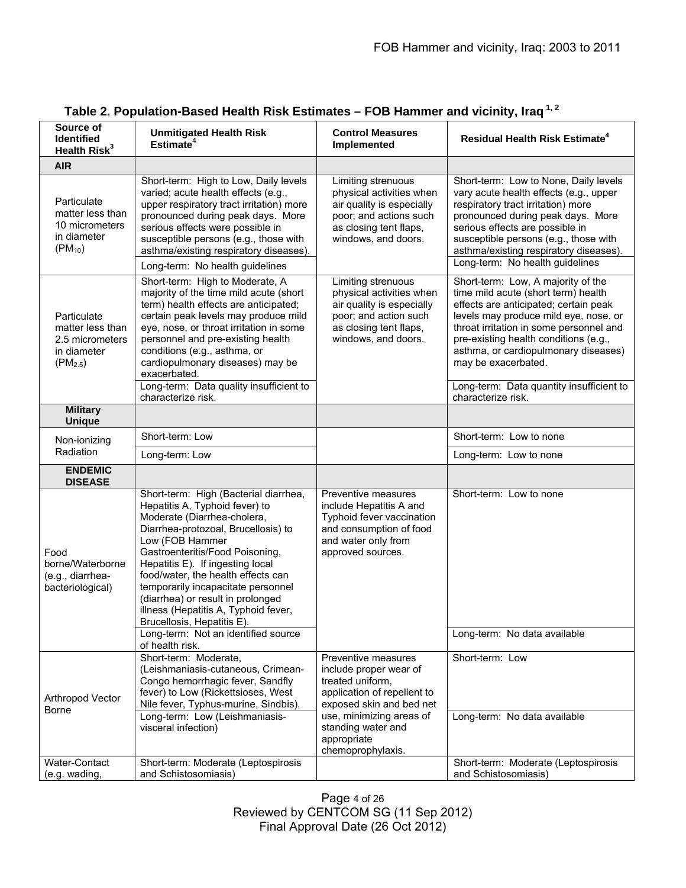| Source of<br><b>Identified</b><br>Health Risk <sup>3</sup>                        | <b>Unmitigated Health Risk</b><br>Estimate <sup>4</sup>                                                                                                                                                                                                                                                                                                                                                                                                               | <b>Control Measures</b><br>Implemented                                                                                                                                                                             | <b>Residual Health Risk Estimate<sup>4</sup></b>                                                                                                                                                                                                                                                                                                                                 |
|-----------------------------------------------------------------------------------|-----------------------------------------------------------------------------------------------------------------------------------------------------------------------------------------------------------------------------------------------------------------------------------------------------------------------------------------------------------------------------------------------------------------------------------------------------------------------|--------------------------------------------------------------------------------------------------------------------------------------------------------------------------------------------------------------------|----------------------------------------------------------------------------------------------------------------------------------------------------------------------------------------------------------------------------------------------------------------------------------------------------------------------------------------------------------------------------------|
| <b>AIR</b>                                                                        |                                                                                                                                                                                                                                                                                                                                                                                                                                                                       |                                                                                                                                                                                                                    |                                                                                                                                                                                                                                                                                                                                                                                  |
| Particulate<br>matter less than<br>10 micrometers<br>in diameter<br>$(PM_{10})$   | Short-term: High to Low, Daily levels<br>varied; acute health effects (e.g.,<br>upper respiratory tract irritation) more<br>pronounced during peak days. More<br>serious effects were possible in<br>susceptible persons (e.g., those with<br>asthma/existing respiratory diseases).<br>Long-term: No health guidelines                                                                                                                                               | Limiting strenuous<br>physical activities when<br>air quality is especially<br>poor; and actions such<br>as closing tent flaps,<br>windows, and doors.                                                             | Short-term: Low to None, Daily levels<br>vary acute health effects (e.g., upper<br>respiratory tract irritation) more<br>pronounced during peak days. More<br>serious effects are possible in<br>susceptible persons (e.g., those with<br>asthma/existing respiratory diseases).<br>Long-term: No health guidelines                                                              |
| Particulate<br>matter less than<br>2.5 micrometers<br>in diameter<br>$(PM_{2.5})$ | Short-term: High to Moderate, A<br>majority of the time mild acute (short<br>term) health effects are anticipated;<br>certain peak levels may produce mild<br>eye, nose, or throat irritation in some<br>personnel and pre-existing health<br>conditions (e.g., asthma, or<br>cardiopulmonary diseases) may be<br>exacerbated.<br>Long-term: Data quality insufficient to<br>characterize risk.                                                                       | Limiting strenuous<br>physical activities when<br>air quality is especially<br>poor; and action such<br>as closing tent flaps,<br>windows, and doors.                                                              | Short-term: Low, A majority of the<br>time mild acute (short term) health<br>effects are anticipated; certain peak<br>levels may produce mild eye, nose, or<br>throat irritation in some personnel and<br>pre-existing health conditions (e.g.,<br>asthma, or cardiopulmonary diseases)<br>may be exacerbated.<br>Long-term: Data quantity insufficient to<br>characterize risk. |
| <b>Military</b><br><b>Unique</b>                                                  |                                                                                                                                                                                                                                                                                                                                                                                                                                                                       |                                                                                                                                                                                                                    |                                                                                                                                                                                                                                                                                                                                                                                  |
| Non-ionizing                                                                      | Short-term: Low                                                                                                                                                                                                                                                                                                                                                                                                                                                       |                                                                                                                                                                                                                    | Short-term: Low to none                                                                                                                                                                                                                                                                                                                                                          |
| Radiation                                                                         | Long-term: Low                                                                                                                                                                                                                                                                                                                                                                                                                                                        |                                                                                                                                                                                                                    | Long-term: Low to none                                                                                                                                                                                                                                                                                                                                                           |
| <b>ENDEMIC</b><br><b>DISEASE</b>                                                  |                                                                                                                                                                                                                                                                                                                                                                                                                                                                       |                                                                                                                                                                                                                    |                                                                                                                                                                                                                                                                                                                                                                                  |
| Food<br>borne/Waterborne<br>(e.g., diarrhea-<br>bacteriological)                  | Short-term: High (Bacterial diarrhea,<br>Hepatitis A, Typhoid fever) to<br>Moderate (Diarrhea-cholera,<br>Diarrhea-protozoal, Brucellosis) to<br>Low (FOB Hammer<br>Gastroenteritis/Food Poisoning,<br>Hepatitis E). If ingesting local<br>food/water, the health effects can<br>temporarily incapacitate personnel<br>(diarrhea) or result in prolonged<br>illness (Hepatitis A, Typhoid fever,<br>Brucellosis, Hepatitis E).<br>Long-term: Not an identified source | Preventive measures<br>include Hepatitis A and<br>Typhoid fever vaccination<br>and consumption of food<br>and water only from<br>approved sources.                                                                 | Short-term: Low to none<br>Long-term: No data available                                                                                                                                                                                                                                                                                                                          |
|                                                                                   | of health risk.<br>Short-term: Moderate,                                                                                                                                                                                                                                                                                                                                                                                                                              |                                                                                                                                                                                                                    |                                                                                                                                                                                                                                                                                                                                                                                  |
| Arthropod Vector<br><b>Borne</b>                                                  | (Leishmaniasis-cutaneous, Crimean-<br>Congo hemorrhagic fever, Sandfly<br>fever) to Low (Rickettsioses, West<br>Nile fever, Typhus-murine, Sindbis).<br>Long-term: Low (Leishmaniasis-<br>visceral infection)                                                                                                                                                                                                                                                         | Preventive measures<br>include proper wear of<br>treated uniform,<br>application of repellent to<br>exposed skin and bed net<br>use, minimizing areas of<br>standing water and<br>appropriate<br>chemoprophylaxis. | Short-term: Low<br>Long-term: No data available                                                                                                                                                                                                                                                                                                                                  |
| Water-Contact<br>(e.g. wading,                                                    | Short-term: Moderate (Leptospirosis<br>and Schistosomiasis)                                                                                                                                                                                                                                                                                                                                                                                                           |                                                                                                                                                                                                                    | Short-term: Moderate (Leptospirosis<br>and Schistosomiasis)                                                                                                                                                                                                                                                                                                                      |
|                                                                                   |                                                                                                                                                                                                                                                                                                                                                                                                                                                                       |                                                                                                                                                                                                                    |                                                                                                                                                                                                                                                                                                                                                                                  |

# **Table 2. Population-Based Health Risk Estimates – FOB Hammer and vicinity, Iraq 1, 2**

Page 4 of 26 Reviewed by CENTCOM SG (11 Sep 2012) Final Approval Date (26 Oct 2012)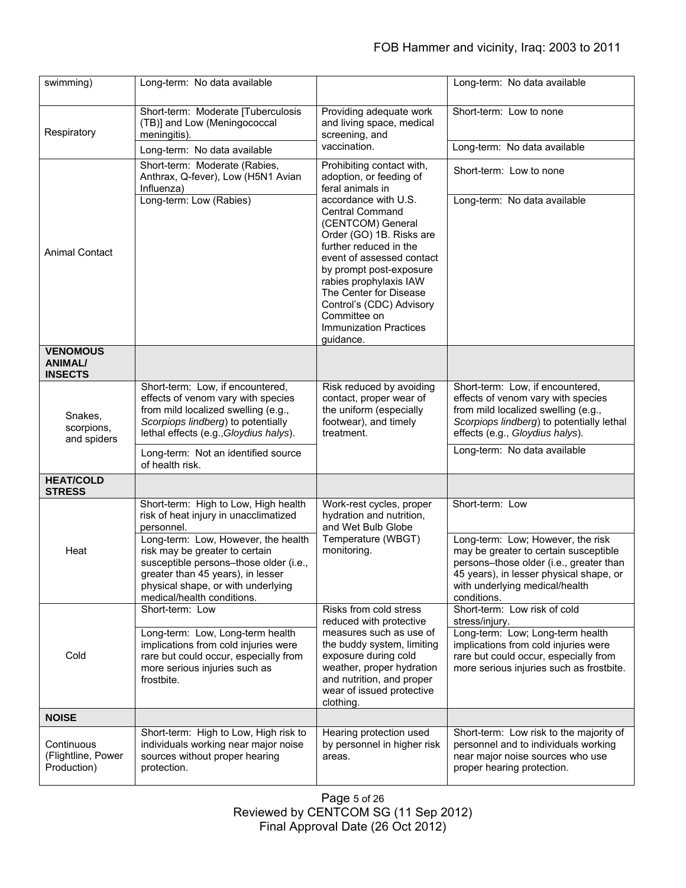| swimming)                                           | Long-term: No data available                                                                                                                                                                                             |                                                                                                                                                                                                                                                                                                                                 | Long-term: No data available                                                                                                                                                                                      |
|-----------------------------------------------------|--------------------------------------------------------------------------------------------------------------------------------------------------------------------------------------------------------------------------|---------------------------------------------------------------------------------------------------------------------------------------------------------------------------------------------------------------------------------------------------------------------------------------------------------------------------------|-------------------------------------------------------------------------------------------------------------------------------------------------------------------------------------------------------------------|
| Respiratory                                         | Short-term: Moderate [Tuberculosis<br>(TB)] and Low (Meningococcal<br>meningitis).                                                                                                                                       | Providing adequate work<br>and living space, medical<br>screening, and<br>vaccination.                                                                                                                                                                                                                                          | Short-term: Low to none                                                                                                                                                                                           |
|                                                     | Long-term: No data available                                                                                                                                                                                             |                                                                                                                                                                                                                                                                                                                                 | Long-term: No data available                                                                                                                                                                                      |
|                                                     | Short-term: Moderate (Rabies,<br>Anthrax, Q-fever), Low (H5N1 Avian<br>Influenza)                                                                                                                                        | Prohibiting contact with,<br>adoption, or feeding of<br>feral animals in                                                                                                                                                                                                                                                        | Short-term: Low to none                                                                                                                                                                                           |
| <b>Animal Contact</b>                               | Long-term: Low (Rabies)                                                                                                                                                                                                  | accordance with U.S.<br><b>Central Command</b><br>(CENTCOM) General<br>Order (GO) 1B. Risks are<br>further reduced in the<br>event of assessed contact<br>by prompt post-exposure<br>rabies prophylaxis IAW<br>The Center for Disease<br>Control's (CDC) Advisory<br>Committee on<br><b>Immunization Practices</b><br>guidance. | Long-term: No data available                                                                                                                                                                                      |
| <b>VENOMOUS</b><br><b>ANIMAL/</b><br><b>INSECTS</b> |                                                                                                                                                                                                                          |                                                                                                                                                                                                                                                                                                                                 |                                                                                                                                                                                                                   |
| Snakes,<br>scorpions,<br>and spiders                | Short-term: Low, if encountered,<br>effects of venom vary with species<br>from mild localized swelling (e.g.,<br>Scorpiops lindberg) to potentially<br>lethal effects (e.g., Gloydius halys).                            | Risk reduced by avoiding<br>contact, proper wear of<br>the uniform (especially<br>footwear), and timely<br>treatment.                                                                                                                                                                                                           | Short-term: Low, if encountered,<br>effects of venom vary with species<br>from mild localized swelling (e.g.,<br>Scorpiops lindberg) to potentially lethal<br>effects (e.g., Gloydius halys).                     |
|                                                     | Long-term: Not an identified source<br>of health risk.                                                                                                                                                                   |                                                                                                                                                                                                                                                                                                                                 | Long-term: No data available                                                                                                                                                                                      |
| <b>HEAT/COLD</b><br><b>STRESS</b>                   |                                                                                                                                                                                                                          |                                                                                                                                                                                                                                                                                                                                 |                                                                                                                                                                                                                   |
| Heat                                                | Short-term: High to Low, High health<br>risk of heat injury in unacclimatized<br>personnel.                                                                                                                              | Work-rest cycles, proper<br>hydration and nutrition,<br>and Wet Bulb Globe                                                                                                                                                                                                                                                      | Short-term: Low                                                                                                                                                                                                   |
|                                                     | Long-term: Low, However, the health<br>risk may be greater to certain<br>susceptible persons-those older (i.e.,<br>greater than 45 years), in lesser<br>physical shape, or with underlying<br>medical/health conditions. | Temperature (WBGT)<br>monitoring.                                                                                                                                                                                                                                                                                               | Long-term: Low; However, the risk<br>may be greater to certain susceptible<br>persons-those older (i.e., greater than<br>45 years), in lesser physical shape, or<br>with underlying medical/health<br>conditions. |
|                                                     | Short-term: Low                                                                                                                                                                                                          | Risks from cold stress<br>reduced with protective                                                                                                                                                                                                                                                                               | Short-term: Low risk of cold<br>stress/injury.                                                                                                                                                                    |
| Cold                                                | Long-term: Low, Long-term health<br>implications from cold injuries were<br>rare but could occur, especially from<br>more serious injuries such as<br>frostbite.                                                         | measures such as use of<br>the buddy system, limiting<br>exposure during cold<br>weather, proper hydration<br>and nutrition, and proper<br>wear of issued protective<br>clothing.                                                                                                                                               | Long-term: Low; Long-term health<br>implications from cold injuries were<br>rare but could occur, especially from<br>more serious injuries such as frostbite.                                                     |
| <b>NOISE</b>                                        |                                                                                                                                                                                                                          |                                                                                                                                                                                                                                                                                                                                 |                                                                                                                                                                                                                   |
| Continuous<br>(Flightline, Power<br>Production)     | Short-term: High to Low, High risk to<br>individuals working near major noise<br>sources without proper hearing<br>protection.                                                                                           | Hearing protection used<br>by personnel in higher risk<br>areas.                                                                                                                                                                                                                                                                | Short-term: Low risk to the majority of<br>personnel and to individuals working<br>near major noise sources who use<br>proper hearing protection.                                                                 |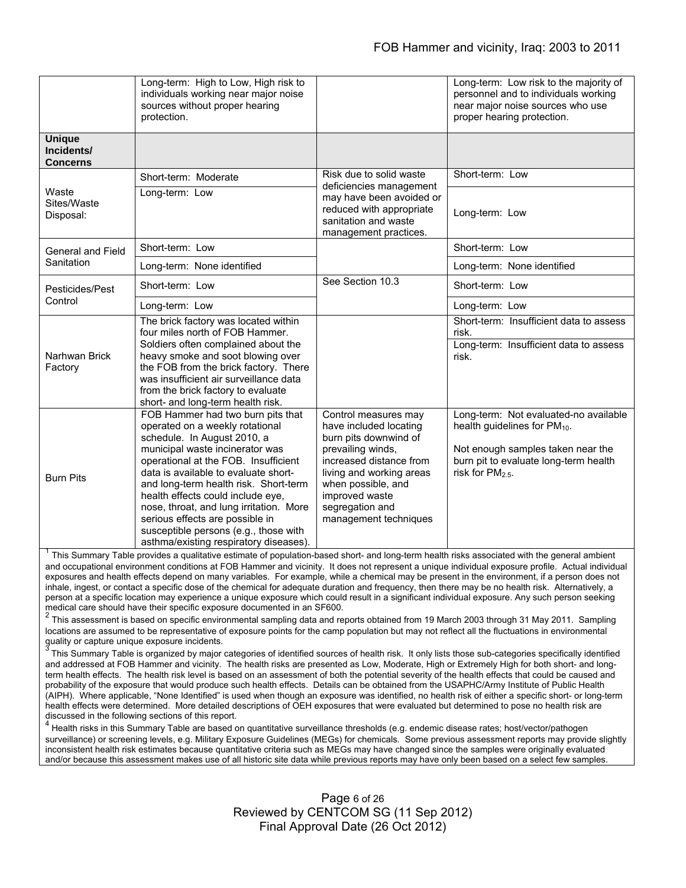|                                                | Long-term: High to Low, High risk to<br>individuals working near major noise<br>sources without proper hearing<br>protection.                                                                                                                                                                                                                                                                                                                                         |                                                                                                                                                                                                                                         | Long-term: Low risk to the majority of<br>personnel and to individuals working<br>near major noise sources who use<br>proper hearing protection.                                      |
|------------------------------------------------|-----------------------------------------------------------------------------------------------------------------------------------------------------------------------------------------------------------------------------------------------------------------------------------------------------------------------------------------------------------------------------------------------------------------------------------------------------------------------|-----------------------------------------------------------------------------------------------------------------------------------------------------------------------------------------------------------------------------------------|---------------------------------------------------------------------------------------------------------------------------------------------------------------------------------------|
| <b>Unique</b><br>Incidents/<br><b>Concerns</b> |                                                                                                                                                                                                                                                                                                                                                                                                                                                                       |                                                                                                                                                                                                                                         |                                                                                                                                                                                       |
| Waste<br>Sites/Waste<br>Disposal:              | Short-term: Moderate                                                                                                                                                                                                                                                                                                                                                                                                                                                  | Risk due to solid waste<br>deficiencies management<br>may have been avoided or<br>reduced with appropriate<br>sanitation and waste<br>management practices.                                                                             | Short-term: Low                                                                                                                                                                       |
|                                                | Long-term: Low                                                                                                                                                                                                                                                                                                                                                                                                                                                        |                                                                                                                                                                                                                                         | Long-term: Low                                                                                                                                                                        |
| General and Field<br>Sanitation                | Short-term: Low                                                                                                                                                                                                                                                                                                                                                                                                                                                       |                                                                                                                                                                                                                                         | Short-term: Low                                                                                                                                                                       |
|                                                | Long-term: None identified                                                                                                                                                                                                                                                                                                                                                                                                                                            |                                                                                                                                                                                                                                         | Long-term: None identified                                                                                                                                                            |
| Pesticides/Pest                                | Short-term: Low                                                                                                                                                                                                                                                                                                                                                                                                                                                       | See Section 10.3                                                                                                                                                                                                                        | Short-term: Low                                                                                                                                                                       |
| Control                                        | Long-term: Low                                                                                                                                                                                                                                                                                                                                                                                                                                                        |                                                                                                                                                                                                                                         | Long-term: Low                                                                                                                                                                        |
| Narhwan Brick<br>Factory                       | The brick factory was located within<br>four miles north of FOB Hammer.<br>Soldiers often complained about the<br>heavy smoke and soot blowing over<br>the FOB from the brick factory. There<br>was insufficient air surveillance data<br>from the brick factory to evaluate<br>short- and long-term health risk.                                                                                                                                                     |                                                                                                                                                                                                                                         | Short-term: Insufficient data to assess<br>risk.<br>Long-term: Insufficient data to assess<br>risk.                                                                                   |
| <b>Burn Pits</b>                               | FOB Hammer had two burn pits that<br>operated on a weekly rotational<br>schedule. In August 2010, a<br>municipal waste incinerator was<br>operational at the FOB. Insufficient<br>data is available to evaluate short-<br>and long-term health risk. Short-term<br>health effects could include eye,<br>nose, throat, and lung irritation. More<br>serious effects are possible in<br>susceptible persons (e.g., those with<br>asthma/existing respiratory diseases). | Control measures may<br>have included locating<br>burn pits downwind of<br>prevailing winds,<br>increased distance from<br>living and working areas<br>when possible, and<br>improved waste<br>segregation and<br>management techniques | Long-term: Not evaluated-no available<br>health guidelines for PM <sub>10</sub> .<br>Not enough samples taken near the<br>burn pit to evaluate long-term health<br>risk for $PM2.5$ . |

<sup>1</sup> This Summary Table provides a qualitative estimate of population-based short- and long-term health risks associated with the general ambient and occupational environment conditions at FOB Hammer and vicinity. It does not represent a unique individual exposure profile. Actual individual exposures and health effects depend on many variables. For example, while a chemical may be present in the environment, if a person does not inhale, ingest, or contact a specific dose of the chemical for adequate duration and frequency, then there may be no health risk. Alternatively, a person at a specific location may experience a unique exposure which could result in a significant individual exposure. Any such person seeking medical care should have their specific exposure documented in an SF600. 2

 $2$  This assessment is based on specific environmental sampling data and reports obtained from 19 March 2003 through 31 May 2011. Sampling locations are assumed to be representative of exposure points for the camp population but may not reflect all the fluctuations in environmental quality or capture unique exposure incidents.

3 This Summary Table is organized by major categories of identified sources of health risk. It only lists those sub-categories specifically identified and addressed at FOB Hammer and vicinity. The health risks are presented as Low, Moderate, High or Extremely High for both short- and longterm health effects. The health risk level is based on an assessment of both the potential severity of the health effects that could be caused and probability of the exposure that would produce such health effects. Details can be obtained from the USAPHC/Army Institute of Public Health (AIPH). Where applicable, "None Identified" is used when though an exposure was identified, no health risk of either a specific short- or long-term health effects were determined. More detailed descriptions of OEH exposures that were evaluated but determined to pose no health risk are discussed in the following sections of this report.

<sup>4</sup> Health risks in this Summary Table are based on quantitative surveillance thresholds (e.g. endemic disease rates; host/vector/pathogen surveillance) or screening levels, e.g. Military Exposure Guidelines (MEGs) for chemicals*.* Some previous assessment reports may provide slightly inconsistent health risk estimates because quantitative criteria such as MEGs may have changed since the samples were originally evaluated and/or because this assessment makes use of all historic site data while previous reports may have only been based on a select few samples.

> Page 6 of 26 Reviewed by CENTCOM SG (11 Sep 2012) Final Approval Date (26 Oct 2012)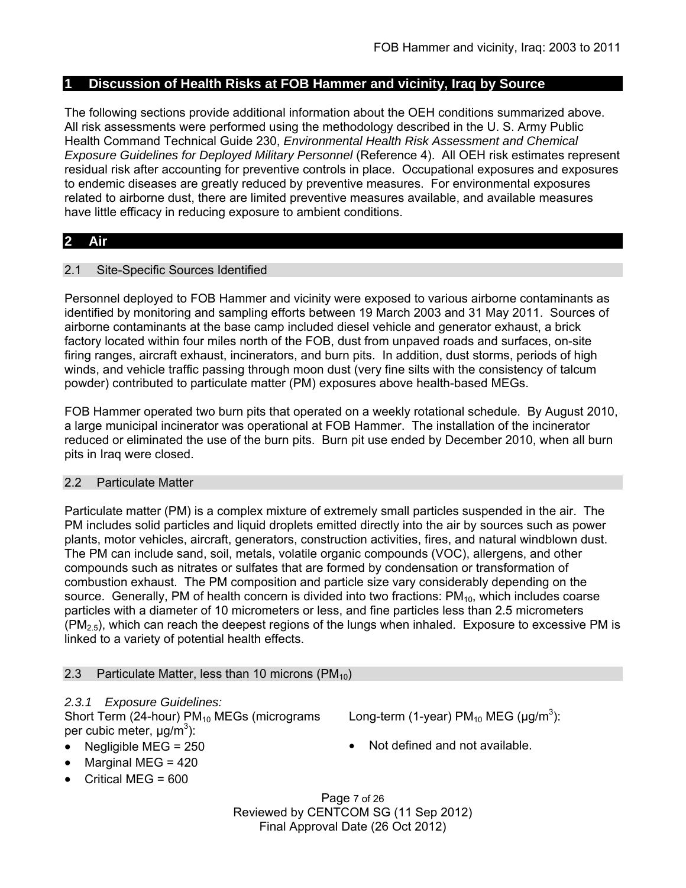## **1 Discussion of Health Risks at FOB Hammer and vicinity, Iraq by Source**

The following sections provide additional information about the OEH conditions summarized above. All risk assessments were performed using the methodology described in the U. S. Army Public Health Command Technical Guide 230, *Environmental Health Risk Assessment and Chemical Exposure Guidelines for Deployed Military Personnel* (Reference 4). All OEH risk estimates represent residual risk after accounting for preventive controls in place. Occupational exposures and exposures to endemic diseases are greatly reduced by preventive measures. For environmental exposures related to airborne dust, there are limited preventive measures available, and available measures have little efficacy in reducing exposure to ambient conditions.

# **2 Air**

## 2.1 Site-Specific Sources Identified

Personnel deployed to FOB Hammer and vicinity were exposed to various airborne contaminants as identified by monitoring and sampling efforts between 19 March 2003 and 31 May 2011. Sources of airborne contaminants at the base camp included diesel vehicle and generator exhaust, a brick factory located within four miles north of the FOB, dust from unpaved roads and surfaces, on-site firing ranges, aircraft exhaust, incinerators, and burn pits. In addition, dust storms, periods of high winds, and vehicle traffic passing through moon dust (very fine silts with the consistency of talcum powder) contributed to particulate matter (PM) exposures above health-based MEGs.

FOB Hammer operated two burn pits that operated on a weekly rotational schedule. By August 2010, a large municipal incinerator was operational at FOB Hammer. The installation of the incinerator reduced or eliminated the use of the burn pits. Burn pit use ended by December 2010, when all burn pits in Iraq were closed.

# 2.2 Particulate Matter

Particulate matter (PM) is a complex mixture of extremely small particles suspended in the air. The PM includes solid particles and liquid droplets emitted directly into the air by sources such as power plants, motor vehicles, aircraft, generators, construction activities, fires, and natural windblown dust. The PM can include sand, soil, metals, volatile organic compounds (VOC), allergens, and other compounds such as nitrates or sulfates that are formed by condensation or transformation of combustion exhaust. The PM composition and particle size vary considerably depending on the source. Generally, PM of health concern is divided into two fractions:  $PM_{10}$ , which includes coarse particles with a diameter of 10 micrometers or less, and fine particles less than 2.5 micrometers  $(PM_{2.5})$ , which can reach the deepest regions of the lungs when inhaled. Exposure to excessive PM is linked to a variety of potential health effects.

## 2.3 Particulate Matter, less than 10 microns  $(PM_{10})$

# *2.3.1 Exposure Guidelines:*

Short Term (24-hour)  $PM_{10}$  MEGs (micrograms per cubic meter,  $\mu$ g/m<sup>3</sup>):

- 
- Marginal MEG = 420
- $\bullet$  Critical MEG = 600

Long-term (1-year)  $PM_{10}$  MEG ( $\mu$ g/m<sup>3</sup>):

• Negligible MEG = 250 **a** Not defined and not available.

Page 7 of 26 Reviewed by CENTCOM SG (11 Sep 2012) Final Approval Date (26 Oct 2012)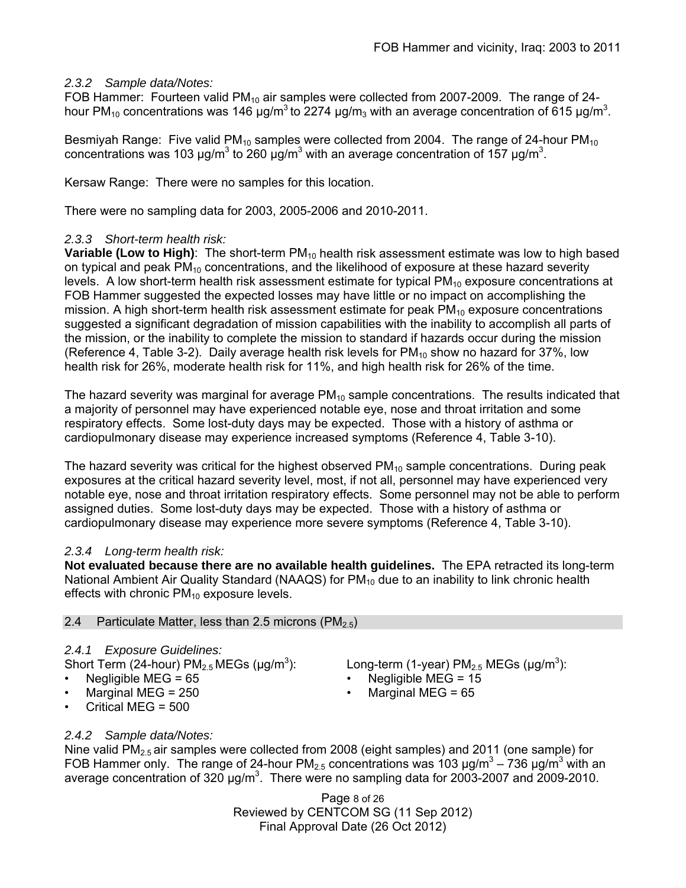# *2.3.2 Sample data/Notes:*

FOB Hammer: Fourteen valid PM<sub>10</sub> air samples were collected from 2007-2009. The range of 24hour PM<sub>10</sub> concentrations was 146  $\mu$ g/m<sup>3</sup> to 2274  $\mu$ g/m<sub>3</sub> with an average concentration of 615  $\mu$ g/m<sup>3</sup>.

Besmiyah Range: Five valid PM<sub>10</sub> samples were collected from 2004. The range of 24-hour PM<sub>10</sub> concentrations was 103  $\mu$ g/m<sup>3</sup> to 260  $\mu$ g/m<sup>3</sup> with an average concentration of 157  $\mu$ g/m<sup>3</sup>.

Kersaw Range: There were no samples for this location.

There were no sampling data for 2003, 2005-2006 and 2010-2011.

# *2.3.3 Short-term health risk:*

**Variable (Low to High):** The short-term PM<sub>10</sub> health risk assessment estimate was low to high based on typical and peak  $PM_{10}$  concentrations, and the likelihood of exposure at these hazard severity levels. A low short-term health risk assessment estimate for typical  $PM_{10}$  exposure concentrations at FOB Hammer suggested the expected losses may have little or no impact on accomplishing the mission. A high short-term health risk assessment estimate for peak  $PM_{10}$  exposure concentrations suggested a significant degradation of mission capabilities with the inability to accomplish all parts of the mission, or the inability to complete the mission to standard if hazards occur during the mission (Reference 4, Table 3-2). Daily average health risk levels for  $PM_{10}$  show no hazard for 37%, low health risk for 26%, moderate health risk for 11%, and high health risk for 26% of the time.

The hazard severity was marginal for average  $PM_{10}$  sample concentrations. The results indicated that a majority of personnel may have experienced notable eye, nose and throat irritation and some respiratory effects. Some lost-duty days may be expected. Those with a history of asthma or cardiopulmonary disease may experience increased symptoms (Reference 4, Table 3-10).

The hazard severity was critical for the highest observed  $PM_{10}$  sample concentrations. During peak exposures at the critical hazard severity level, most, if not all, personnel may have experienced very notable eye, nose and throat irritation respiratory effects. Some personnel may not be able to perform assigned duties. Some lost-duty days may be expected. Those with a history of asthma or cardiopulmonary disease may experience more severe symptoms (Reference 4, Table 3-10).

# *2.3.4 Long-term health risk:*

**Not evaluated because there are no available health guidelines.** The EPA retracted its long-term National Ambient Air Quality Standard (NAAQS) for  $PM_{10}$  due to an inability to link chronic health effects with chronic  $PM_{10}$  exposure levels.

# 2.4 Particulate Matter, less than 2.5 microns  $(PM_{2.5})$

# *2.4.1 Exposure Guidelines:*

- Short Term (24-hour) PM<sub>2.5</sub> MEGs (μg/m<sup>3</sup>):<br>• Negligible MEG = 65
- 
- Marginal MEG = 250 Marginal MEG = 65
- Critical MEG = 500

# *2.4.2 Sample data/Notes:*

Nine valid  $PM<sub>2.5</sub>$  air samples were collected from 2008 (eight samples) and 2011 (one sample) for FOB Hammer only. The range of 24-hour PM<sub>2.5</sub> concentrations was 103  $\mu$ g/m<sup>3</sup> – 736  $\mu$ g/m<sup>3</sup> with an average concentration of 320  $\mu$ g/m<sup>3</sup>. There were no sampling data for 2003-2007 and 2009-2010.

> Page 8 of 26 Reviewed by CENTCOM SG (11 Sep 2012) Final Approval Date (26 Oct 2012)

# ): Long-term (1-year)  $PM_{2.5}$  MEGs ( $\mu$ g/m<sup>3</sup>):

- Negligible MEG =  $15$
-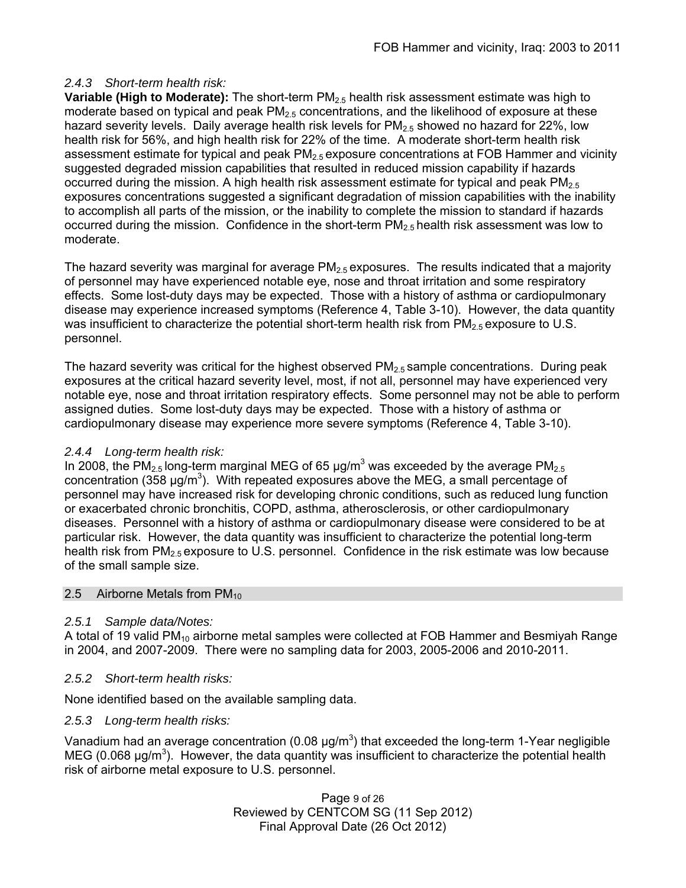## *2.4.3 Short-term health risk:*

**Variable (High to Moderate):** The short-term PM2.5 health risk assessment estimate was high to moderate based on typical and peak  $PM<sub>2.5</sub>$  concentrations, and the likelihood of exposure at these hazard severity levels. Daily average health risk levels for  $PM_{2.5}$  showed no hazard for 22%, low health risk for 56%, and high health risk for 22% of the time. A moderate short-term health risk assessment estimate for typical and peak  $PM<sub>2.5</sub>$  exposure concentrations at FOB Hammer and vicinity suggested degraded mission capabilities that resulted in reduced mission capability if hazards occurred during the mission. A high health risk assessment estimate for typical and peak  $PM_{2.5}$ exposures concentrations suggested a significant degradation of mission capabilities with the inability to accomplish all parts of the mission, or the inability to complete the mission to standard if hazards occurred during the mission. Confidence in the short-term  $PM_{2.5}$  health risk assessment was low to moderate.

The hazard severity was marginal for average  $PM_{2.5}$  exposures. The results indicated that a majority of personnel may have experienced notable eye, nose and throat irritation and some respiratory effects. Some lost-duty days may be expected. Those with a history of asthma or cardiopulmonary disease may experience increased symptoms (Reference 4, Table 3-10). However, the data quantity was insufficient to characterize the potential short-term health risk from  $PM_{2.5}$  exposure to U.S. personnel.

The hazard severity was critical for the highest observed  $PM_{2.5}$  sample concentrations. During peak exposures at the critical hazard severity level, most, if not all, personnel may have experienced very notable eye, nose and throat irritation respiratory effects. Some personnel may not be able to perform assigned duties. Some lost-duty days may be expected. Those with a history of asthma or cardiopulmonary disease may experience more severe symptoms (Reference 4, Table 3-10).

## *2.4.4 Long-term health risk:*

In 2008, the PM<sub>2.5</sub> long-term marginal MEG of 65  $\mu$ g/m<sup>3</sup> was exceeded by the average PM<sub>2.5</sub> concentration (358  $\mu$ g/m<sup>3</sup>). With repeated exposures above the MEG, a small percentage of personnel may have increased risk for developing chronic conditions, such as reduced lung function or exacerbated chronic bronchitis, COPD, asthma, atherosclerosis, or other cardiopulmonary diseases. Personnel with a history of asthma or cardiopulmonary disease were considered to be at particular risk. However, the data quantity was insufficient to characterize the potential long-term health risk from  $PM_{2.5}$  exposure to U.S. personnel. Confidence in the risk estimate was low because of the small sample size.

## 2.5 Airborne Metals from  $PM<sub>10</sub>$

# *2.5.1 Sample data/Notes:*

A total of 19 valid PM<sub>10</sub> airborne metal samples were collected at FOB Hammer and Besmiyah Range in 2004, and 2007-2009. There were no sampling data for 2003, 2005-2006 and 2010-2011.

# *2.5.2 Short-term health risks:*

None identified based on the available sampling data.

## *2.5.3 Long-term health risks:*

Vanadium had an average concentration (0.08  $\mu$ g/m<sup>3</sup>) that exceeded the long-term 1-Year negligible MEG (0.068  $\mu$ g/m<sup>3</sup>). However, the data quantity was insufficient to characterize the potential health risk of airborne metal exposure to U.S. personnel.

> Page 9 of 26 Reviewed by CENTCOM SG (11 Sep 2012) Final Approval Date (26 Oct 2012)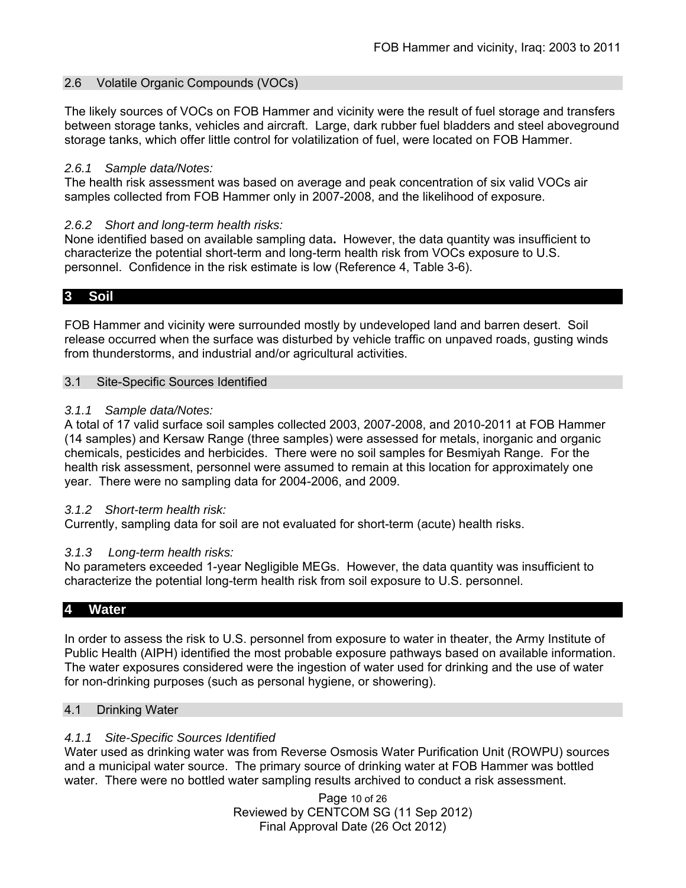#### 2.6 Volatile Organic Compounds (VOCs)

The likely sources of VOCs on FOB Hammer and vicinity were the result of fuel storage and transfers between storage tanks, vehicles and aircraft. Large, dark rubber fuel bladders and steel aboveground storage tanks, which offer little control for volatilization of fuel, were located on FOB Hammer.

#### *2.6.1 Sample data/Notes:*

The health risk assessment was based on average and peak concentration of six valid VOCs air samples collected from FOB Hammer only in 2007-2008, and the likelihood of exposure.

#### *2.6.2 Short and long-term health risks:*

None identified based on available sampling data**.** However, the data quantity was insufficient to characterize the potential short-term and long-term health risk from VOCs exposure to U.S. personnel. Confidence in the risk estimate is low (Reference 4, Table 3-6).

#### **3 Soil**

FOB Hammer and vicinity were surrounded mostly by undeveloped land and barren desert. Soil release occurred when the surface was disturbed by vehicle traffic on unpaved roads, gusting winds from thunderstorms, and industrial and/or agricultural activities.

#### 3.1 Site-Specific Sources Identified

#### *3.1.1 Sample data/Notes:*

A total of 17 valid surface soil samples collected 2003, 2007-2008, and 2010-2011 at FOB Hammer (14 samples) and Kersaw Range (three samples) were assessed for metals, inorganic and organic chemicals, pesticides and herbicides. There were no soil samples for Besmiyah Range. For the health risk assessment, personnel were assumed to remain at this location for approximately one year. There were no sampling data for 2004-2006, and 2009.

#### *3.1.2 Short-term health risk:*

Currently, sampling data for soil are not evaluated for short-term (acute) health risks.

## *3.1.3 Long-term health risks:*

No parameters exceeded 1-year Negligible MEGs. However, the data quantity was insufficient to characterize the potential long-term health risk from soil exposure to U.S. personnel.

## **4 Water**

In order to assess the risk to U.S. personnel from exposure to water in theater, the Army Institute of Public Health (AIPH) identified the most probable exposure pathways based on available information. The water exposures considered were the ingestion of water used for drinking and the use of water for non-drinking purposes (such as personal hygiene, or showering).

#### 4.1 Drinking Water

#### *4.1.1 Site-Specific Sources Identified*

Water used as drinking water was from Reverse Osmosis Water Purification Unit (ROWPU) sources and a municipal water source. The primary source of drinking water at FOB Hammer was bottled water. There were no bottled water sampling results archived to conduct a risk assessment.

> Page 10 of 26 Reviewed by CENTCOM SG (11 Sep 2012) Final Approval Date (26 Oct 2012)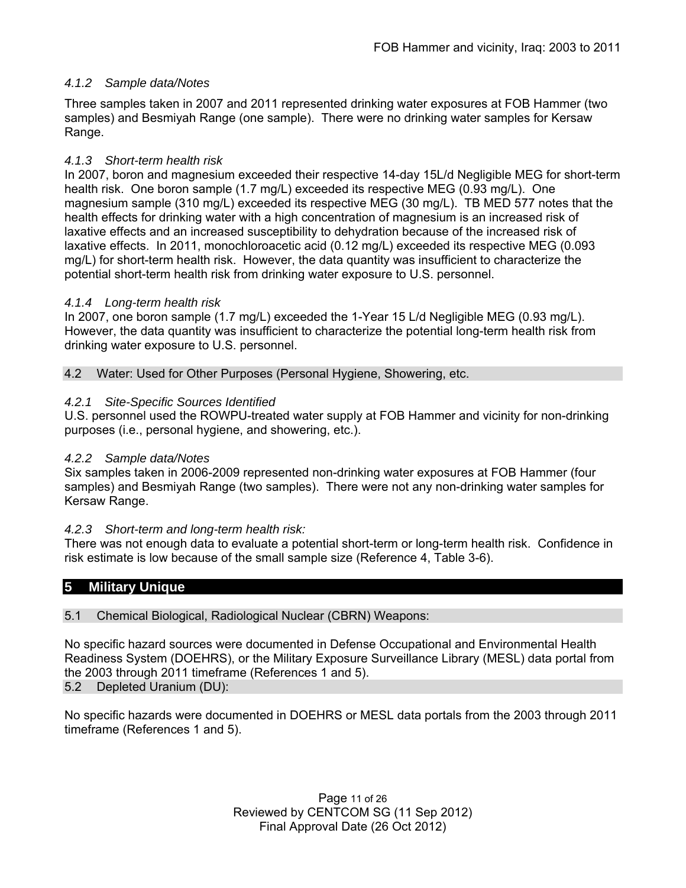## *4.1.2 Sample data/Notes*

Three samples taken in 2007 and 2011 represented drinking water exposures at FOB Hammer (two samples) and Besmiyah Range (one sample). There were no drinking water samples for Kersaw Range.

## *4.1.3 Short-term health risk*

In 2007, boron and magnesium exceeded their respective 14-day 15L/d Negligible MEG for short-term health risk. One boron sample (1.7 mg/L) exceeded its respective MEG (0.93 mg/L). One magnesium sample (310 mg/L) exceeded its respective MEG (30 mg/L). TB MED 577 notes that the health effects for drinking water with a high concentration of magnesium is an increased risk of laxative effects and an increased susceptibility to dehydration because of the increased risk of laxative effects. In 2011, monochloroacetic acid (0.12 mg/L) exceeded its respective MEG (0.093 mg/L) for short-term health risk. However, the data quantity was insufficient to characterize the potential short-term health risk from drinking water exposure to U.S. personnel.

## *4.1.4 Long-term health risk*

In 2007, one boron sample (1.7 mg/L) exceeded the 1-Year 15 L/d Negligible MEG (0.93 mg/L). However, the data quantity was insufficient to characterize the potential long-term health risk from drinking water exposure to U.S. personnel.

4.2 Water: Used for Other Purposes (Personal Hygiene, Showering, etc.

## *4.2.1 Site-Specific Sources Identified*

U.S. personnel used the ROWPU-treated water supply at FOB Hammer and vicinity for non-drinking purposes (i.e., personal hygiene, and showering, etc.).

## *4.2.2 Sample data/Notes*

Six samples taken in 2006-2009 represented non-drinking water exposures at FOB Hammer (four samples) and Besmiyah Range (two samples). There were not any non-drinking water samples for Kersaw Range.

## *4.2.3 Short-term and long-term health risk:*

There was not enough data to evaluate a potential short-term or long-term health risk. Confidence in risk estimate is low because of the small sample size (Reference 4, Table 3-6).

# **5 Military Unique**

## 5.1 Chemical Biological, Radiological Nuclear (CBRN) Weapons:

No specific hazard sources were documented in Defense Occupational and Environmental Health Readiness System (DOEHRS), or the Military Exposure Surveillance Library (MESL) data portal from the 2003 through 2011 timeframe (References 1 and 5).

5.2 Depleted Uranium (DU):

No specific hazards were documented in DOEHRS or MESL data portals from the 2003 through 2011 timeframe (References 1 and 5).

> Page 11 of 26 Reviewed by CENTCOM SG (11 Sep 2012) Final Approval Date (26 Oct 2012)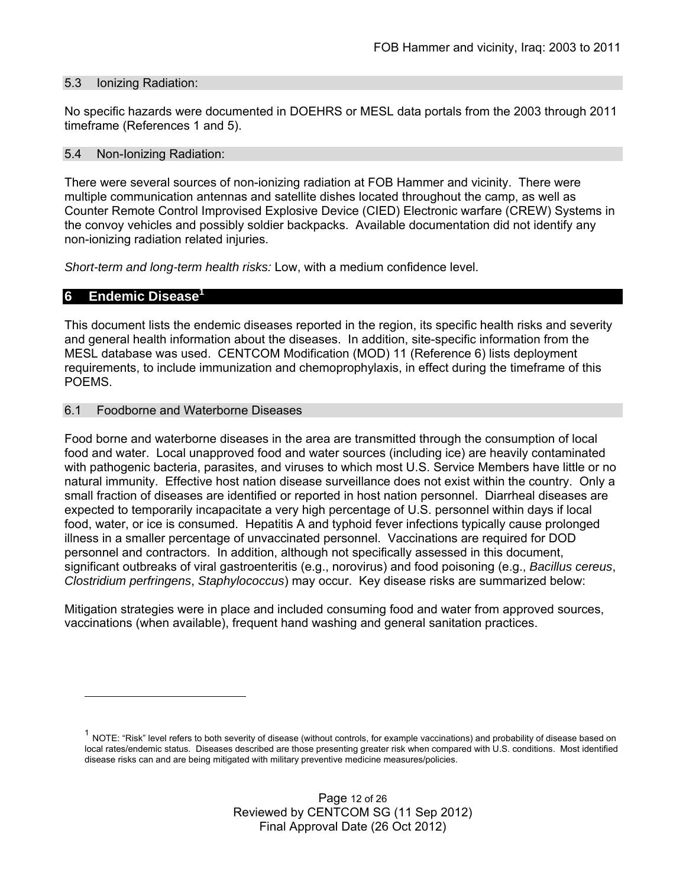#### 5.3 Ionizing Radiation:

No specific hazards were documented in DOEHRS or MESL data portals from the 2003 through 2011 timeframe (References 1 and 5).

#### 5.4 Non-Ionizing Radiation:

There were several sources of non-ionizing radiation at FOB Hammer and vicinity. There were multiple communication antennas and satellite dishes located throughout the camp, as well as Counter Remote Control Improvised Explosive Device (CIED) Electronic warfare (CREW) Systems in the convoy vehicles and possibly soldier backpacks. Available documentation did not identify any non-ionizing radiation related injuries.

*Short-term and long-term health risks:* Low, with a medium confidence level.

## **6 Endemic Disease<sup>1</sup>**

This document lists the endemic diseases reported in the region, its specific health risks and severity and general health information about the diseases. In addition, site-specific information from the MESL database was used. CENTCOM Modification (MOD) 11 (Reference 6) lists deployment requirements, to include immunization and chemoprophylaxis, in effect during the timeframe of this POEMS.

#### 6.1 Foodborne and Waterborne Diseases

Food borne and waterborne diseases in the area are transmitted through the consumption of local food and water. Local unapproved food and water sources (including ice) are heavily contaminated with pathogenic bacteria, parasites, and viruses to which most U.S. Service Members have little or no natural immunity. Effective host nation disease surveillance does not exist within the country. Only a small fraction of diseases are identified or reported in host nation personnel. Diarrheal diseases are expected to temporarily incapacitate a very high percentage of U.S. personnel within days if local food, water, or ice is consumed. Hepatitis A and typhoid fever infections typically cause prolonged illness in a smaller percentage of unvaccinated personnel. Vaccinations are required for DOD personnel and contractors. In addition, although not specifically assessed in this document, significant outbreaks of viral gastroenteritis (e.g., norovirus) and food poisoning (e.g., *Bacillus cereus*, *Clostridium perfringens*, *Staphylococcus*) may occur. Key disease risks are summarized below:

Mitigation strategies were in place and included consuming food and water from approved sources, vaccinations (when available), frequent hand washing and general sanitation practices.

 $1$  NOTE: "Risk" level refers to both severity of disease (without controls, for example vaccinations) and probability of disease based on local rates/endemic status. Diseases described are those presenting greater risk when compared with U.S. conditions. Most identified disease risks can and are being mitigated with military preventive medicine measures/policies.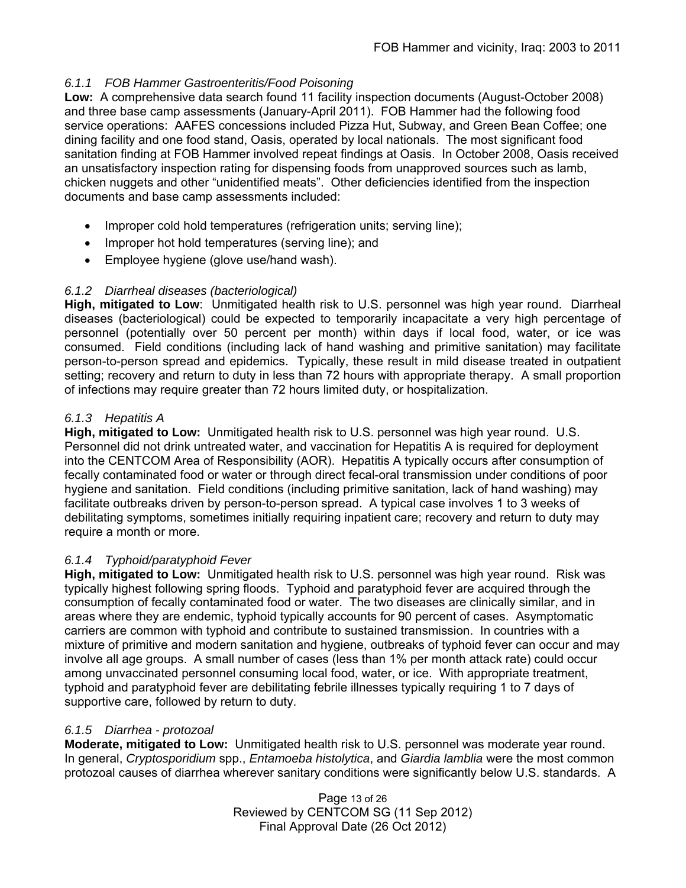# *6.1.1 FOB Hammer Gastroenteritis/Food Poisoning*

**Low:** A comprehensive data search found 11 facility inspection documents (August-October 2008) and three base camp assessments (January-April 2011). FOB Hammer had the following food service operations: AAFES concessions included Pizza Hut, Subway, and Green Bean Coffee; one dining facility and one food stand, Oasis, operated by local nationals. The most significant food sanitation finding at FOB Hammer involved repeat findings at Oasis. In October 2008, Oasis received an unsatisfactory inspection rating for dispensing foods from unapproved sources such as lamb, chicken nuggets and other "unidentified meats". Other deficiencies identified from the inspection documents and base camp assessments included:

- Improper cold hold temperatures (refrigeration units; serving line);
- Improper hot hold temperatures (serving line); and
- Employee hygiene (glove use/hand wash).

# *6.1.2 Diarrheal diseases (bacteriological)*

**High, mitigated to Low**: Unmitigated health risk to U.S. personnel was high year round. Diarrheal diseases (bacteriological) could be expected to temporarily incapacitate a very high percentage of personnel (potentially over 50 percent per month) within days if local food, water, or ice was consumed. Field conditions (including lack of hand washing and primitive sanitation) may facilitate person-to-person spread and epidemics. Typically, these result in mild disease treated in outpatient setting; recovery and return to duty in less than 72 hours with appropriate therapy. A small proportion of infections may require greater than 72 hours limited duty, or hospitalization.

# *6.1.3 Hepatitis A*

**High, mitigated to Low:** Unmitigated health risk to U.S. personnel was high year round. U.S. Personnel did not drink untreated water, and vaccination for Hepatitis A is required for deployment into the CENTCOM Area of Responsibility (AOR). Hepatitis A typically occurs after consumption of fecally contaminated food or water or through direct fecal-oral transmission under conditions of poor hygiene and sanitation. Field conditions (including primitive sanitation, lack of hand washing) may facilitate outbreaks driven by person-to-person spread. A typical case involves 1 to 3 weeks of debilitating symptoms, sometimes initially requiring inpatient care; recovery and return to duty may require a month or more.

# *6.1.4 Typhoid/paratyphoid Fever*

**High, mitigated to Low:** Unmitigated health risk to U.S. personnel was high year round. Risk was typically highest following spring floods. Typhoid and paratyphoid fever are acquired through the consumption of fecally contaminated food or water. The two diseases are clinically similar, and in areas where they are endemic, typhoid typically accounts for 90 percent of cases. Asymptomatic carriers are common with typhoid and contribute to sustained transmission. In countries with a mixture of primitive and modern sanitation and hygiene, outbreaks of typhoid fever can occur and may involve all age groups. A small number of cases (less than 1% per month attack rate) could occur among unvaccinated personnel consuming local food, water, or ice. With appropriate treatment, typhoid and paratyphoid fever are debilitating febrile illnesses typically requiring 1 to 7 days of supportive care, followed by return to duty.

# *6.1.5 Diarrhea - protozoal*

**Moderate, mitigated to Low:** Unmitigated health risk to U.S. personnel was moderate year round. In general, *Cryptosporidium* spp., *Entamoeba histolytica*, and *Giardia lamblia* were the most common protozoal causes of diarrhea wherever sanitary conditions were significantly below U.S. standards. A

> Page 13 of 26 Reviewed by CENTCOM SG (11 Sep 2012) Final Approval Date (26 Oct 2012)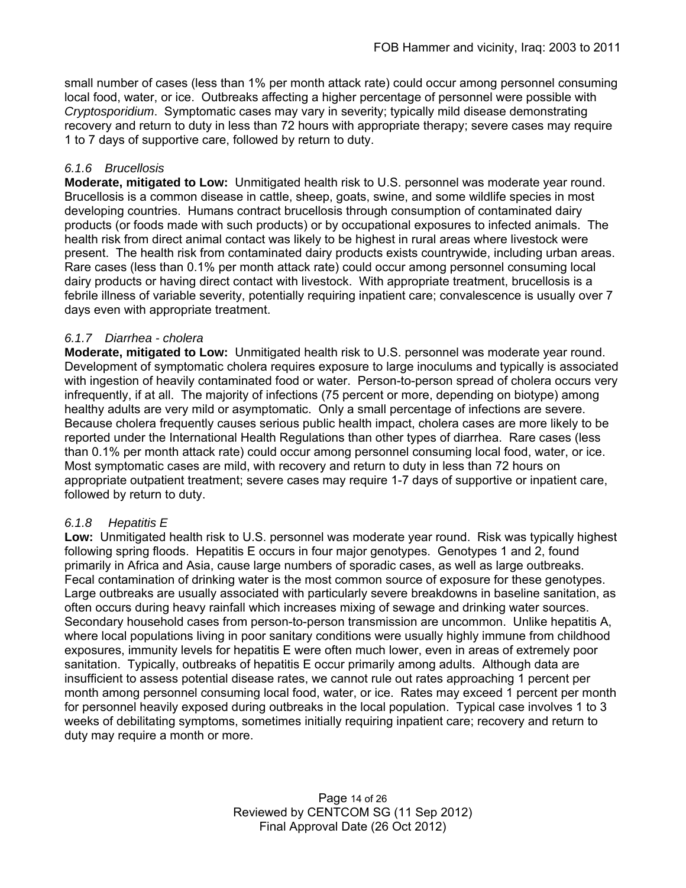small number of cases (less than 1% per month attack rate) could occur among personnel consuming local food, water, or ice. Outbreaks affecting a higher percentage of personnel were possible with *Cryptosporidium*. Symptomatic cases may vary in severity; typically mild disease demonstrating recovery and return to duty in less than 72 hours with appropriate therapy; severe cases may require 1 to 7 days of supportive care, followed by return to duty.

# *6.1.6 Brucellosis*

**Moderate, mitigated to Low:** Unmitigated health risk to U.S. personnel was moderate year round. Brucellosis is a common disease in cattle, sheep, goats, swine, and some wildlife species in most developing countries. Humans contract brucellosis through consumption of contaminated dairy products (or foods made with such products) or by occupational exposures to infected animals. The health risk from direct animal contact was likely to be highest in rural areas where livestock were present. The health risk from contaminated dairy products exists countrywide, including urban areas. Rare cases (less than 0.1% per month attack rate) could occur among personnel consuming local dairy products or having direct contact with livestock. With appropriate treatment, brucellosis is a febrile illness of variable severity, potentially requiring inpatient care; convalescence is usually over 7 days even with appropriate treatment.

# *6.1.7 Diarrhea - cholera*

**Moderate, mitigated to Low:** Unmitigated health risk to U.S. personnel was moderate year round. Development of symptomatic cholera requires exposure to large inoculums and typically is associated with ingestion of heavily contaminated food or water. Person-to-person spread of cholera occurs very infrequently, if at all. The majority of infections (75 percent or more, depending on biotype) among healthy adults are very mild or asymptomatic. Only a small percentage of infections are severe. Because cholera frequently causes serious public health impact, cholera cases are more likely to be reported under the International Health Regulations than other types of diarrhea. Rare cases (less than 0.1% per month attack rate) could occur among personnel consuming local food, water, or ice. Most symptomatic cases are mild, with recovery and return to duty in less than 72 hours on appropriate outpatient treatment; severe cases may require 1-7 days of supportive or inpatient care, followed by return to duty.

# *6.1.8 Hepatitis E*

**Low:** Unmitigated health risk to U.S. personnel was moderate year round. Risk was typically highest following spring floods. Hepatitis E occurs in four major genotypes. Genotypes 1 and 2, found primarily in Africa and Asia, cause large numbers of sporadic cases, as well as large outbreaks. Fecal contamination of drinking water is the most common source of exposure for these genotypes. Large outbreaks are usually associated with particularly severe breakdowns in baseline sanitation, as often occurs during heavy rainfall which increases mixing of sewage and drinking water sources. Secondary household cases from person-to-person transmission are uncommon. Unlike hepatitis A, where local populations living in poor sanitary conditions were usually highly immune from childhood exposures, immunity levels for hepatitis E were often much lower, even in areas of extremely poor sanitation. Typically, outbreaks of hepatitis E occur primarily among adults. Although data are insufficient to assess potential disease rates, we cannot rule out rates approaching 1 percent per month among personnel consuming local food, water, or ice. Rates may exceed 1 percent per month for personnel heavily exposed during outbreaks in the local population. Typical case involves 1 to 3 weeks of debilitating symptoms, sometimes initially requiring inpatient care; recovery and return to duty may require a month or more.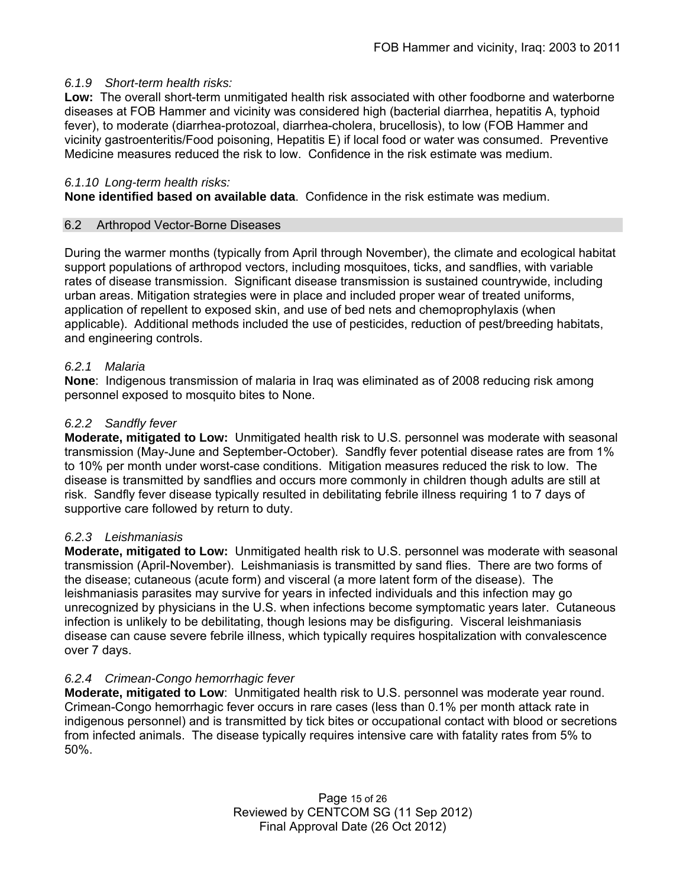## *6.1.9 Short-term health risks:*

**Low:** The overall short-term unmitigated health risk associated with other foodborne and waterborne diseases at FOB Hammer and vicinity was considered high (bacterial diarrhea, hepatitis A, typhoid fever), to moderate (diarrhea-protozoal, diarrhea-cholera, brucellosis), to low (FOB Hammer and vicinity gastroenteritis/Food poisoning, Hepatitis E) if local food or water was consumed. Preventive Medicine measures reduced the risk to low. Confidence in the risk estimate was medium.

## *6.1.10 Long-term health risks:*

**None identified based on available data**.Confidence in the risk estimate was medium.

## 6.2 Arthropod Vector-Borne Diseases

During the warmer months (typically from April through November), the climate and ecological habitat support populations of arthropod vectors, including mosquitoes, ticks, and sandflies, with variable rates of disease transmission. Significant disease transmission is sustained countrywide, including urban areas. Mitigation strategies were in place and included proper wear of treated uniforms, application of repellent to exposed skin, and use of bed nets and chemoprophylaxis (when applicable). Additional methods included the use of pesticides, reduction of pest/breeding habitats, and engineering controls.

## *6.2.1 Malaria*

**None**: Indigenous transmission of malaria in Iraq was eliminated as of 2008 reducing risk among personnel exposed to mosquito bites to None.

## *6.2.2 Sandfly fever*

**Moderate, mitigated to Low:** Unmitigated health risk to U.S. personnel was moderate with seasonal transmission (May-June and September-October). Sandfly fever potential disease rates are from 1% to 10% per month under worst-case conditions. Mitigation measures reduced the risk to low. The disease is transmitted by sandflies and occurs more commonly in children though adults are still at risk. Sandfly fever disease typically resulted in debilitating febrile illness requiring 1 to 7 days of supportive care followed by return to duty.

## *6.2.3 Leishmaniasis*

**Moderate, mitigated to Low:** Unmitigated health risk to U.S. personnel was moderate with seasonal transmission (April-November). Leishmaniasis is transmitted by sand flies. There are two forms of the disease; cutaneous (acute form) and visceral (a more latent form of the disease). The leishmaniasis parasites may survive for years in infected individuals and this infection may go unrecognized by physicians in the U.S. when infections become symptomatic years later. Cutaneous infection is unlikely to be debilitating, though lesions may be disfiguring. Visceral leishmaniasis disease can cause severe febrile illness, which typically requires hospitalization with convalescence over 7 days.

# *6.2.4 Crimean-Congo hemorrhagic fever*

**Moderate, mitigated to Low**: Unmitigated health risk to U.S. personnel was moderate year round. Crimean-Congo hemorrhagic fever occurs in rare cases (less than 0.1% per month attack rate in indigenous personnel) and is transmitted by tick bites or occupational contact with blood or secretions from infected animals. The disease typically requires intensive care with fatality rates from 5% to 50%.

> Page 15 of 26 Reviewed by CENTCOM SG (11 Sep 2012) Final Approval Date (26 Oct 2012)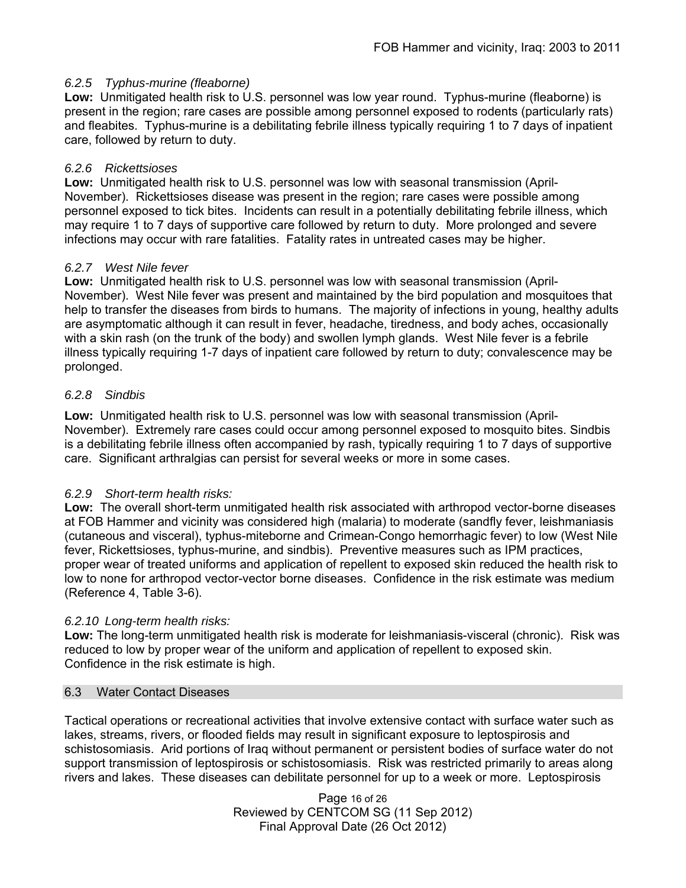## *6.2.5 Typhus-murine (fleaborne)*

**Low:** Unmitigated health risk to U.S. personnel was low year round.Typhus-murine (fleaborne) is present in the region; rare cases are possible among personnel exposed to rodents (particularly rats) and fleabites. Typhus-murine is a debilitating febrile illness typically requiring 1 to 7 days of inpatient care, followed by return to duty.

## *6.2.6 Rickettsioses*

**Low:** Unmitigated health risk to U.S. personnel was low with seasonal transmission (April-November). Rickettsioses disease was present in the region; rare cases were possible among personnel exposed to tick bites. Incidents can result in a potentially debilitating febrile illness, which may require 1 to 7 days of supportive care followed by return to duty. More prolonged and severe infections may occur with rare fatalities. Fatality rates in untreated cases may be higher.

## *6.2.7 West Nile fever*

**Low:** Unmitigated health risk to U.S. personnel was low with seasonal transmission (April-November). West Nile fever was present and maintained by the bird population and mosquitoes that help to transfer the diseases from birds to humans. The majority of infections in young, healthy adults are asymptomatic although it can result in fever, headache, tiredness, and body aches, occasionally with a skin rash (on the trunk of the body) and swollen lymph glands. West Nile fever is a febrile illness typically requiring 1-7 days of inpatient care followed by return to duty; convalescence may be prolonged.

## *6.2.8 Sindbis*

**Low:** Unmitigated health risk to U.S. personnel was low with seasonal transmission (April-November). Extremely rare cases could occur among personnel exposed to mosquito bites. Sindbis is a debilitating febrile illness often accompanied by rash, typically requiring 1 to 7 days of supportive care. Significant arthralgias can persist for several weeks or more in some cases.

# *6.2.9 Short-term health risks:*

**Low:** The overall short-term unmitigated health risk associated with arthropod vector-borne diseases at FOB Hammer and vicinity was considered high (malaria) to moderate (sandfly fever, leishmaniasis (cutaneous and visceral), typhus-miteborne and Crimean-Congo hemorrhagic fever) to low (West Nile fever, Rickettsioses, typhus-murine, and sindbis). Preventive measures such as IPM practices, proper wear of treated uniforms and application of repellent to exposed skin reduced the health risk to low to none for arthropod vector-vector borne diseases. Confidence in the risk estimate was medium (Reference 4, Table 3-6).

## *6.2.10 Long-term health risks:*

**Low:** The long-term unmitigated health risk is moderate for leishmaniasis-visceral (chronic). Risk was reduced to low by proper wear of the uniform and application of repellent to exposed skin. Confidence in the risk estimate is high.

## 6.3 Water Contact Diseases

Tactical operations or recreational activities that involve extensive contact with surface water such as lakes, streams, rivers, or flooded fields may result in significant exposure to leptospirosis and schistosomiasis. Arid portions of Iraq without permanent or persistent bodies of surface water do not support transmission of leptospirosis or schistosomiasis. Risk was restricted primarily to areas along rivers and lakes. These diseases can debilitate personnel for up to a week or more. Leptospirosis

> Page 16 of 26 Reviewed by CENTCOM SG (11 Sep 2012) Final Approval Date (26 Oct 2012)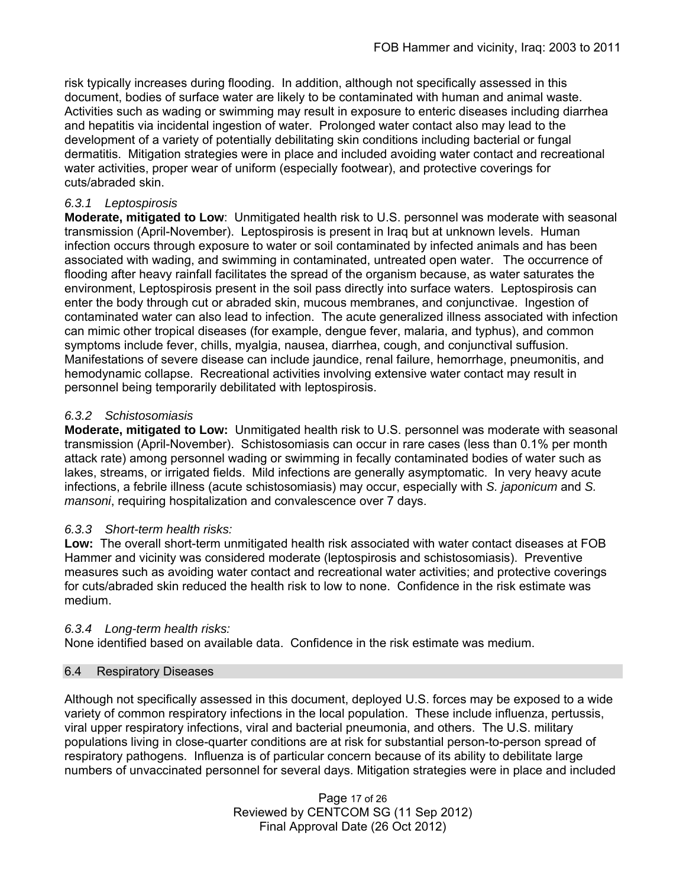risk typically increases during flooding. In addition, although not specifically assessed in this document, bodies of surface water are likely to be contaminated with human and animal waste. Activities such as wading or swimming may result in exposure to enteric diseases including diarrhea and hepatitis via incidental ingestion of water. Prolonged water contact also may lead to the development of a variety of potentially debilitating skin conditions including bacterial or fungal dermatitis. Mitigation strategies were in place and included avoiding water contact and recreational water activities, proper wear of uniform (especially footwear), and protective coverings for cuts/abraded skin.

## *6.3.1 Leptospirosis*

**Moderate, mitigated to Low**: Unmitigated health risk to U.S. personnel was moderate with seasonal transmission (April-November). Leptospirosis is present in Iraq but at unknown levels. Human infection occurs through exposure to water or soil contaminated by infected animals and has been associated with wading, and swimming in contaminated, untreated open water.The occurrence of flooding after heavy rainfall facilitates the spread of the organism because, as water saturates the environment, Leptospirosis present in the soil pass directly into surface waters. Leptospirosis can enter the body through cut or abraded skin, mucous membranes, and conjunctivae. Ingestion of contaminated water can also lead to infection. The acute generalized illness associated with infection can mimic other tropical diseases (for example, dengue fever, malaria, and typhus), and common symptoms include fever, chills, myalgia, nausea, diarrhea, cough, and conjunctival suffusion. Manifestations of severe disease can include jaundice, renal failure, hemorrhage, pneumonitis, and hemodynamic collapse. Recreational activities involving extensive water contact may result in personnel being temporarily debilitated with leptospirosis.

## *6.3.2 Schistosomiasis*

**Moderate, mitigated to Low:** Unmitigated health risk to U.S. personnel was moderate with seasonal transmission (April-November). Schistosomiasis can occur in rare cases (less than 0.1% per month attack rate) among personnel wading or swimming in fecally contaminated bodies of water such as lakes, streams, or irrigated fields.Mild infections are generally asymptomatic. In very heavy acute infections, a febrile illness (acute schistosomiasis) may occur, especially with *S. japonicum* and *S. mansoni*, requiring hospitalization and convalescence over 7 days.

# *6.3.3 Short-term health risks:*

**Low:** The overall short-term unmitigated health risk associated with water contact diseases at FOB Hammer and vicinity was considered moderate (leptospirosis and schistosomiasis). Preventive measures such as avoiding water contact and recreational water activities; and protective coverings for cuts/abraded skin reduced the health risk to low to none. Confidence in the risk estimate was medium.

## *6.3.4 Long-term health risks:*

None identified based on available data. Confidence in the risk estimate was medium.

## 6.4 Respiratory Diseases

Although not specifically assessed in this document, deployed U.S. forces may be exposed to a wide variety of common respiratory infections in the local population. These include influenza, pertussis, viral upper respiratory infections, viral and bacterial pneumonia, and others. The U.S. military populations living in close-quarter conditions are at risk for substantial person-to-person spread of respiratory pathogens. Influenza is of particular concern because of its ability to debilitate large numbers of unvaccinated personnel for several days. Mitigation strategies were in place and included

> Page 17 of 26 Reviewed by CENTCOM SG (11 Sep 2012) Final Approval Date (26 Oct 2012)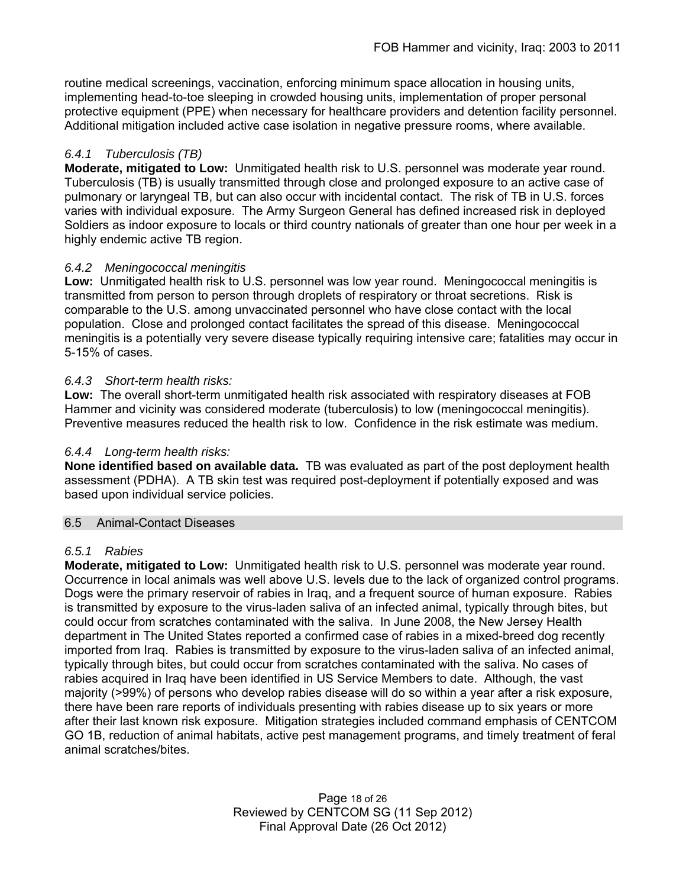routine medical screenings, vaccination, enforcing minimum space allocation in housing units, implementing head-to-toe sleeping in crowded housing units, implementation of proper personal protective equipment (PPE) when necessary for healthcare providers and detention facility personnel. Additional mitigation included active case isolation in negative pressure rooms, where available.

# *6.4.1 Tuberculosis (TB)*

**Moderate, mitigated to Low:** Unmitigated health risk to U.S. personnel was moderate year round. Tuberculosis (TB) is usually transmitted through close and prolonged exposure to an active case of pulmonary or laryngeal TB, but can also occur with incidental contact. The risk of TB in U.S. forces varies with individual exposure. The Army Surgeon General has defined increased risk in deployed Soldiers as indoor exposure to locals or third country nationals of greater than one hour per week in a highly endemic active TB region.

# *6.4.2 Meningococcal meningitis*

**Low:** Unmitigated health risk to U.S. personnel was low year round. Meningococcal meningitis is transmitted from person to person through droplets of respiratory or throat secretions. Risk is comparable to the U.S. among unvaccinated personnel who have close contact with the local population. Close and prolonged contact facilitates the spread of this disease. Meningococcal meningitis is a potentially very severe disease typically requiring intensive care; fatalities may occur in 5-15% of cases.

## *6.4.3 Short-term health risks:*

**Low:** The overall short-term unmitigated health risk associated with respiratory diseases at FOB Hammer and vicinity was considered moderate (tuberculosis) to low (meningococcal meningitis). Preventive measures reduced the health risk to low. Confidence in the risk estimate was medium.

## *6.4.4 Long-term health risks:*

**None identified based on available data.** TB was evaluated as part of the post deployment health assessment (PDHA). A TB skin test was required post-deployment if potentially exposed and was based upon individual service policies.

## 6.5 Animal-Contact Diseases

## *6.5.1 Rabies*

**Moderate, mitigated to Low:** Unmitigated health risk to U.S. personnel was moderate year round. Occurrence in local animals was well above U.S. levels due to the lack of organized control programs. Dogs were the primary reservoir of rabies in Iraq, and a frequent source of human exposure. Rabies is transmitted by exposure to the virus-laden saliva of an infected animal, typically through bites, but could occur from scratches contaminated with the saliva. In June 2008, the New Jersey Health department in The United States reported a confirmed case of rabies in a mixed-breed dog recently imported from Iraq. Rabies is transmitted by exposure to the virus-laden saliva of an infected animal, typically through bites, but could occur from scratches contaminated with the saliva. No cases of rabies acquired in Iraq have been identified in US Service Members to date. Although, the vast majority (>99%) of persons who develop rabies disease will do so within a year after a risk exposure, there have been rare reports of individuals presenting with rabies disease up to six years or more after their last known risk exposure. Mitigation strategies included command emphasis of CENTCOM GO 1B, reduction of animal habitats, active pest management programs, and timely treatment of feral animal scratches/bites.

> Page 18 of 26 Reviewed by CENTCOM SG (11 Sep 2012) Final Approval Date (26 Oct 2012)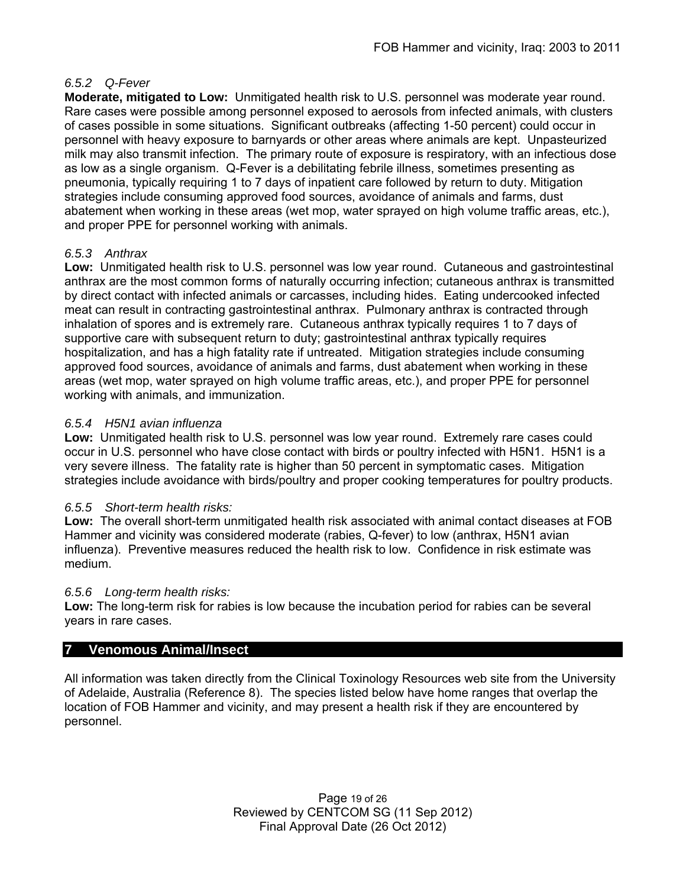## *6.5.2 Q-Fever*

**Moderate, mitigated to Low:** Unmitigated health risk to U.S. personnel was moderate year round. Rare cases were possible among personnel exposed to aerosols from infected animals, with clusters of cases possible in some situations. Significant outbreaks (affecting 1-50 percent) could occur in personnel with heavy exposure to barnyards or other areas where animals are kept. Unpasteurized milk may also transmit infection. The primary route of exposure is respiratory, with an infectious dose as low as a single organism. Q-Fever is a debilitating febrile illness, sometimes presenting as pneumonia, typically requiring 1 to 7 days of inpatient care followed by return to duty. Mitigation strategies include consuming approved food sources, avoidance of animals and farms, dust abatement when working in these areas (wet mop, water sprayed on high volume traffic areas, etc.), and proper PPE for personnel working with animals.

# *6.5.3 Anthrax*

**Low:** Unmitigated health risk to U.S. personnel was low year round. Cutaneous and gastrointestinal anthrax are the most common forms of naturally occurring infection; cutaneous anthrax is transmitted by direct contact with infected animals or carcasses, including hides. Eating undercooked infected meat can result in contracting gastrointestinal anthrax. Pulmonary anthrax is contracted through inhalation of spores and is extremely rare. Cutaneous anthrax typically requires 1 to 7 days of supportive care with subsequent return to duty; gastrointestinal anthrax typically requires hospitalization, and has a high fatality rate if untreated. Mitigation strategies include consuming approved food sources, avoidance of animals and farms, dust abatement when working in these areas (wet mop, water sprayed on high volume traffic areas, etc.), and proper PPE for personnel working with animals, and immunization.

## *6.5.4 H5N1 avian influenza*

**Low:** Unmitigated health risk to U.S. personnel was low year round. Extremely rare cases could occur in U.S. personnel who have close contact with birds or poultry infected with H5N1. H5N1 is a very severe illness. The fatality rate is higher than 50 percent in symptomatic cases. Mitigation strategies include avoidance with birds/poultry and proper cooking temperatures for poultry products.

## *6.5.5 Short-term health risks:*

**Low:** The overall short-term unmitigated health risk associated with animal contact diseases at FOB Hammer and vicinity was considered moderate (rabies, Q-fever) to low (anthrax, H5N1 avian influenza). Preventive measures reduced the health risk to low. Confidence in risk estimate was medium.

## *6.5.6 Long-term health risks:*

**Low:** The long-term risk for rabies is low because the incubation period for rabies can be several years in rare cases.

# **7 Venomous Animal/Insect**

All information was taken directly from the Clinical Toxinology Resources web site from the University of Adelaide, Australia (Reference 8). The species listed below have home ranges that overlap the location of FOB Hammer and vicinity, and may present a health risk if they are encountered by personnel.

> Page 19 of 26 Reviewed by CENTCOM SG (11 Sep 2012) Final Approval Date (26 Oct 2012)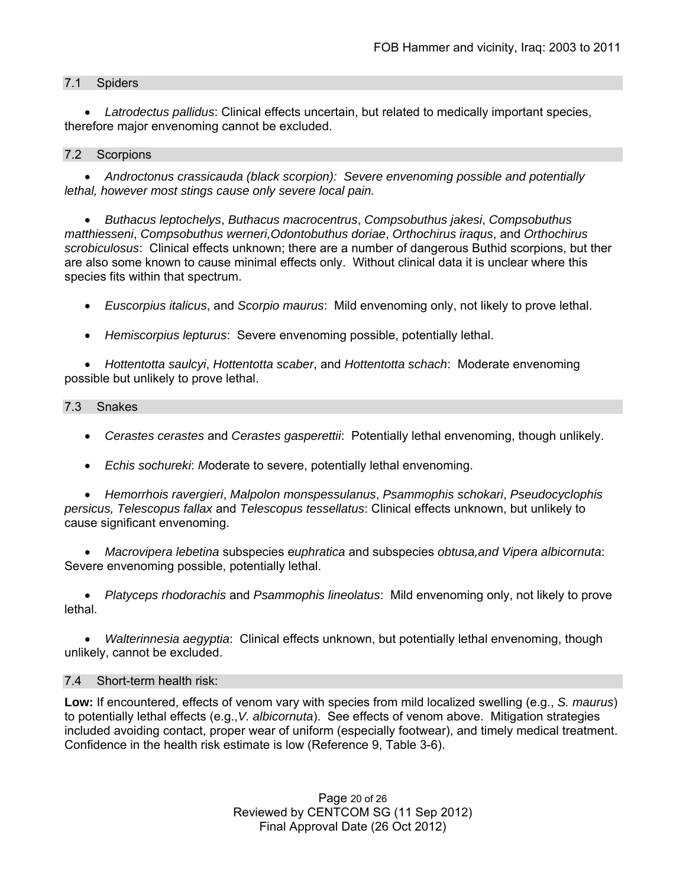## 7.1 Spiders

 *Latrodectus pallidus*: Clinical effects uncertain, but related to medically important species, therefore major envenoming cannot be excluded.

#### 7.2 Scorpions

 *Androctonus crassicauda (black scorpion): Severe envenoming possible and potentially lethal, however most stings cause only severe local pain.* 

 *Buthacus leptochelys*, *Buthacus macrocentrus*, *Compsobuthus jakesi*, *Compsobuthus matthiesseni*, *Compsobuthus werneri,Odontobuthus doriae*, *Orthochirus iraqus*, and *Orthochirus scrobiculosus*: Clinical effects unknown; there are a number of dangerous Buthid scorpions, but ther are also some known to cause minimal effects only. Without clinical data it is unclear where this species fits within that spectrum.

*Euscorpius italicus*, and *Scorpio maurus*: Mild envenoming only, not likely to prove lethal.

*Hemiscorpius lepturus*: Severe envenoming possible, potentially lethal.

 *Hottentotta saulcyi*, *Hottentotta scaber*, and *Hottentotta schach*: Moderate envenoming possible but unlikely to prove lethal.

#### 7.3 Snakes

- *Cerastes cerastes* and *Cerastes gasperettii*: Potentially lethal envenoming, though unlikely.
- *Echis sochureki*: *M*oderate to severe, potentially lethal envenoming.

 *Hemorrhois ravergieri*, *Malpolon monspessulanus*, *Psammophis schokari*, *Pseudocyclophis persicus, Telescopus fallax* and *Telescopus tessellatus*: Clinical effects unknown, but unlikely to cause significant envenoming.

 *Macrovipera lebetina* subspecies e*uphratica* and subspecies *obtusa,and Vipera albicornuta*: Severe envenoming possible, potentially lethal.

 *Platyceps rhodorachis* and *Psammophis lineolatus*: Mild envenoming only, not likely to prove lethal.

 *Walterinnesia aegyptia*: Clinical effects unknown, but potentially lethal envenoming, though unlikely, cannot be excluded.

## 7.4 Short-term health risk:

**Low:** If encountered, effects of venom vary with species from mild localized swelling (e.g., *S. maurus*) to potentially lethal effects (e.g.,*V. albicornuta*). See effects of venom above. Mitigation strategies included avoiding contact, proper wear of uniform (especially footwear), and timely medical treatment. Confidence in the health risk estimate is low (Reference 9, Table 3-6).

> Page 20 of 26 Reviewed by CENTCOM SG (11 Sep 2012) Final Approval Date (26 Oct 2012)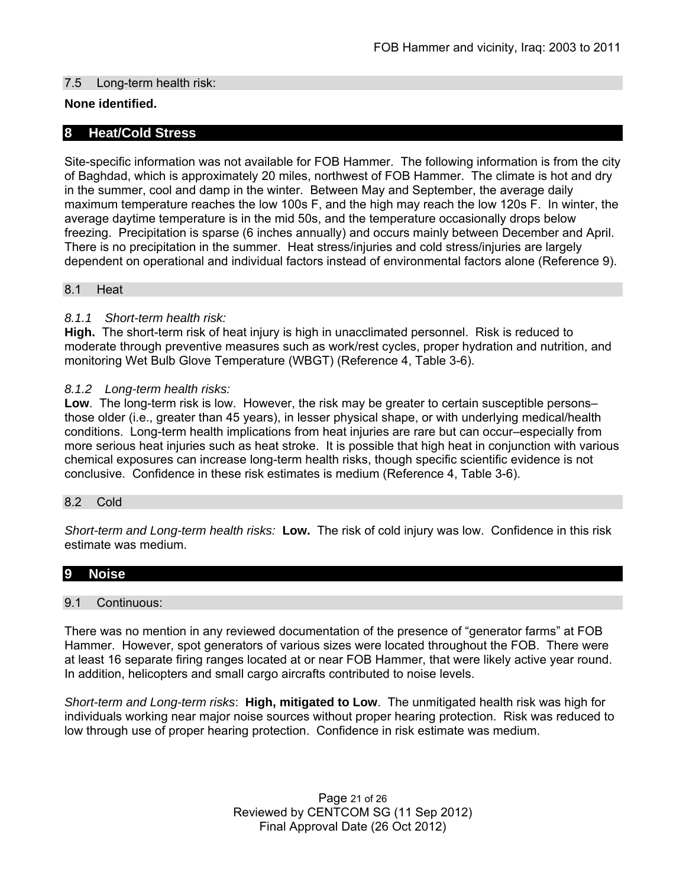## 7.5 Long-term health risk:

## **None identified.**

## **8 Heat/Cold Stress**

Site-specific information was not available for FOB Hammer. The following information is from the city of Baghdad, which is approximately 20 miles, northwest of FOB Hammer. The climate is hot and dry in the summer, cool and damp in the winter. Between May and September, the average daily maximum temperature reaches the low 100s F, and the high may reach the low 120s F. In winter, the average daytime temperature is in the mid 50s, and the temperature occasionally drops below freezing. Precipitation is sparse (6 inches annually) and occurs mainly between December and April. There is no precipitation in the summer. Heat stress/injuries and cold stress/injuries are largely dependent on operational and individual factors instead of environmental factors alone (Reference 9).

#### 8.1 Heat

## *8.1.1 Short-term health risk:*

**High.** The short-term risk of heat injury is high in unacclimated personnel. Risk is reduced to moderate through preventive measures such as work/rest cycles, proper hydration and nutrition, and monitoring Wet Bulb Glove Temperature (WBGT) (Reference 4, Table 3-6).

## *8.1.2 Long-term health risks:*

**Low**. The long-term risk is low. However, the risk may be greater to certain susceptible persons– those older (i.e., greater than 45 years), in lesser physical shape, or with underlying medical/health conditions. Long-term health implications from heat injuries are rare but can occur–especially from more serious heat injuries such as heat stroke.It is possible that high heat in conjunction with various chemical exposures can increase long-term health risks, though specific scientific evidence is not conclusive. Confidence in these risk estimates is medium (Reference 4, Table 3-6).

## 8.2 Cold

*Short-term and Long-term health risks:* **Low.** The risk of cold injury was low. Confidence in this risk estimate was medium.

# **9 Noise**

#### 9.1 Continuous:

There was no mention in any reviewed documentation of the presence of "generator farms" at FOB Hammer. However, spot generators of various sizes were located throughout the FOB. There were at least 16 separate firing ranges located at or near FOB Hammer, that were likely active year round. In addition, helicopters and small cargo aircrafts contributed to noise levels.

*Short-term and Long-term risks*: **High, mitigated to Low**. The unmitigated health risk was high for individuals working near major noise sources without proper hearing protection. Risk was reduced to low through use of proper hearing protection. Confidence in risk estimate was medium.

> Page 21 of 26 Reviewed by CENTCOM SG (11 Sep 2012) Final Approval Date (26 Oct 2012)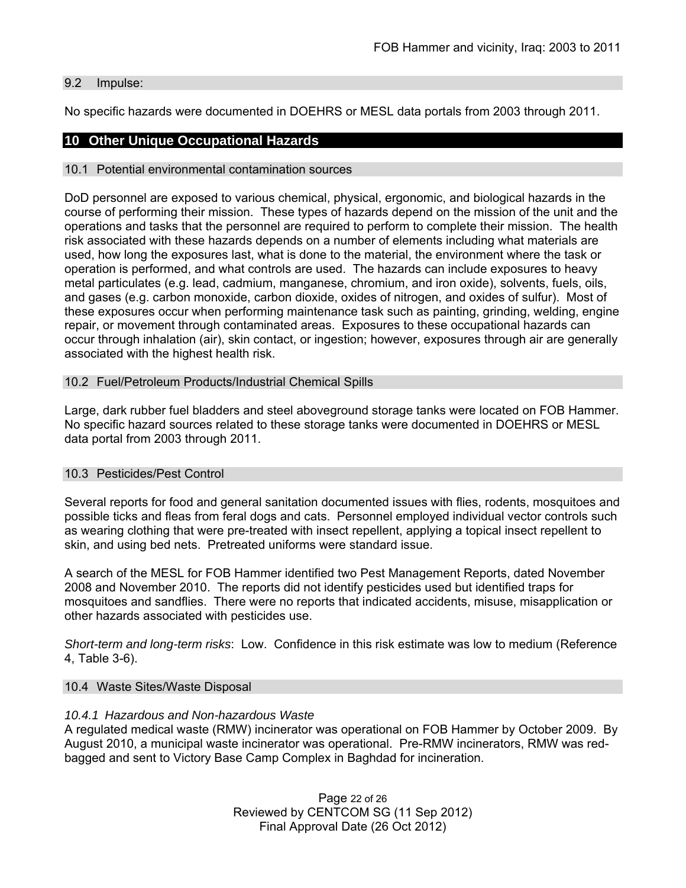#### 9.2 Impulse:

No specific hazards were documented in DOEHRS or MESL data portals from 2003 through 2011.

## **10 Other Unique Occupational Hazards**

#### 10.1 Potential environmental contamination sources

DoD personnel are exposed to various chemical, physical, ergonomic, and biological hazards in the course of performing their mission. These types of hazards depend on the mission of the unit and the operations and tasks that the personnel are required to perform to complete their mission. The health risk associated with these hazards depends on a number of elements including what materials are used, how long the exposures last, what is done to the material, the environment where the task or operation is performed, and what controls are used. The hazards can include exposures to heavy metal particulates (e.g. lead, cadmium, manganese, chromium, and iron oxide), solvents, fuels, oils, and gases (e.g. carbon monoxide, carbon dioxide, oxides of nitrogen, and oxides of sulfur). Most of these exposures occur when performing maintenance task such as painting, grinding, welding, engine repair, or movement through contaminated areas. Exposures to these occupational hazards can occur through inhalation (air), skin contact, or ingestion; however, exposures through air are generally associated with the highest health risk.

#### 10.2 Fuel/Petroleum Products/Industrial Chemical Spills

Large, dark rubber fuel bladders and steel aboveground storage tanks were located on FOB Hammer. No specific hazard sources related to these storage tanks were documented in DOEHRS or MESL data portal from 2003 through 2011.

#### 10.3 Pesticides/Pest Control

Several reports for food and general sanitation documented issues with flies, rodents, mosquitoes and possible ticks and fleas from feral dogs and cats. Personnel employed individual vector controls such as wearing clothing that were pre-treated with insect repellent, applying a topical insect repellent to skin, and using bed nets. Pretreated uniforms were standard issue.

A search of the MESL for FOB Hammer identified two Pest Management Reports, dated November 2008 and November 2010. The reports did not identify pesticides used but identified traps for mosquitoes and sandflies. There were no reports that indicated accidents, misuse, misapplication or other hazards associated with pesticides use.

*Short-term and long-term risks*: Low. Confidence in this risk estimate was low to medium (Reference 4, Table 3-6).

#### 10.4 Waste Sites/Waste Disposal

#### *10.4.1 Hazardous and Non-hazardous Waste*

A regulated medical waste (RMW) incinerator was operational on FOB Hammer by October 2009. By August 2010, a municipal waste incinerator was operational. Pre-RMW incinerators, RMW was redbagged and sent to Victory Base Camp Complex in Baghdad for incineration.

> Page 22 of 26 Reviewed by CENTCOM SG (11 Sep 2012) Final Approval Date (26 Oct 2012)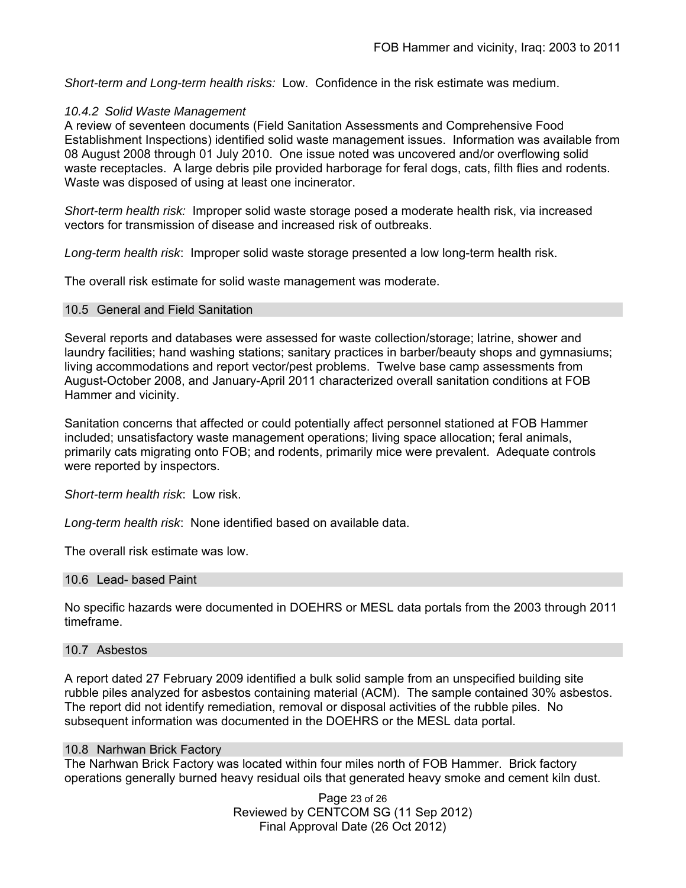*Short-term and Long-term health risks:*Low. Confidence in the risk estimate was medium.

#### *10.4.2 Solid Waste Management*

A review of seventeen documents (Field Sanitation Assessments and Comprehensive Food Establishment Inspections) identified solid waste management issues. Information was available from 08 August 2008 through 01 July 2010. One issue noted was uncovered and/or overflowing solid waste receptacles. A large debris pile provided harborage for feral dogs, cats, filth flies and rodents. Waste was disposed of using at least one incinerator.

*Short-term health risk:* Improper solid waste storage posed a moderate health risk, via increased vectors for transmission of disease and increased risk of outbreaks.

*Long-term health risk*: Improper solid waste storage presented a low long-term health risk.

The overall risk estimate for solid waste management was moderate.

#### 10.5 General and Field Sanitation

Several reports and databases were assessed for waste collection/storage; latrine, shower and laundry facilities; hand washing stations; sanitary practices in barber/beauty shops and gymnasiums; living accommodations and report vector/pest problems. Twelve base camp assessments from August-October 2008, and January-April 2011 characterized overall sanitation conditions at FOB Hammer and vicinity.

Sanitation concerns that affected or could potentially affect personnel stationed at FOB Hammer included; unsatisfactory waste management operations; living space allocation; feral animals, primarily cats migrating onto FOB; and rodents, primarily mice were prevalent. Adequate controls were reported by inspectors.

*Short-term health risk*: Low risk.

*Long-term health risk*: None identified based on available data.

The overall risk estimate was low.

#### 10.6 Lead- based Paint

No specific hazards were documented in DOEHRS or MESL data portals from the 2003 through 2011 timeframe.

#### 10.7 Asbestos

A report dated 27 February 2009 identified a bulk solid sample from an unspecified building site rubble piles analyzed for asbestos containing material (ACM). The sample contained 30% asbestos. The report did not identify remediation, removal or disposal activities of the rubble piles. No subsequent information was documented in the DOEHRS or the MESL data portal.

#### 10.8 Narhwan Brick Factory

The Narhwan Brick Factory was located within four miles north of FOB Hammer. Brick factory operations generally burned heavy residual oils that generated heavy smoke and cement kiln dust.

> Page 23 of 26 Reviewed by CENTCOM SG (11 Sep 2012) Final Approval Date (26 Oct 2012)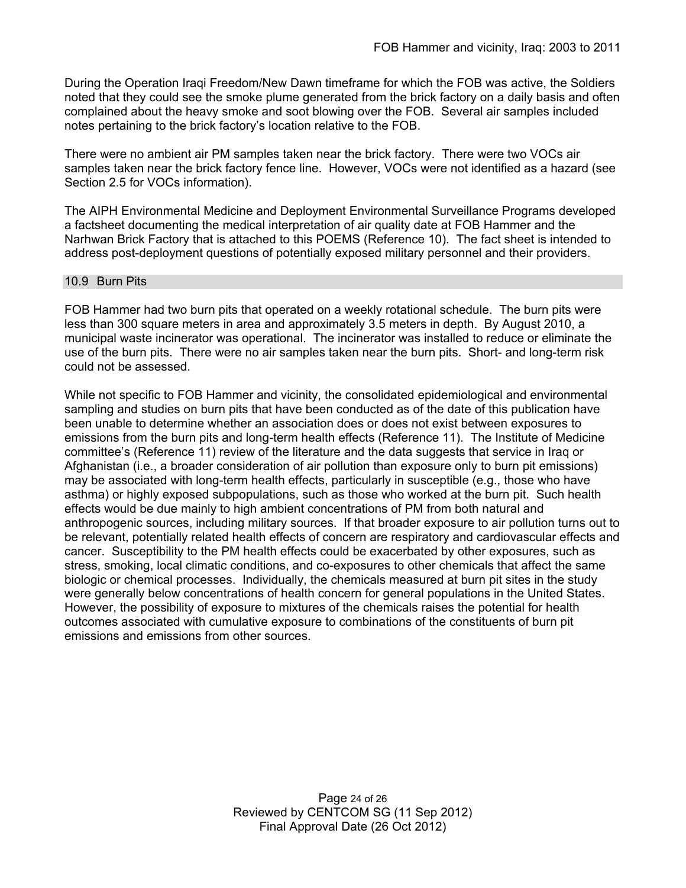During the Operation Iraqi Freedom/New Dawn timeframe for which the FOB was active, the Soldiers noted that they could see the smoke plume generated from the brick factory on a daily basis and often complained about the heavy smoke and soot blowing over the FOB. Several air samples included notes pertaining to the brick factory's location relative to the FOB.

There were no ambient air PM samples taken near the brick factory. There were two VOCs air samples taken near the brick factory fence line. However, VOCs were not identified as a hazard (see Section 2.5 for VOCs information).

The AIPH Environmental Medicine and Deployment Environmental Surveillance Programs developed a factsheet documenting the medical interpretation of air quality date at FOB Hammer and the Narhwan Brick Factory that is attached to this POEMS (Reference 10). The fact sheet is intended to address post-deployment questions of potentially exposed military personnel and their providers.

#### 10.9 Burn Pits

FOB Hammer had two burn pits that operated on a weekly rotational schedule. The burn pits were less than 300 square meters in area and approximately 3.5 meters in depth. By August 2010, a municipal waste incinerator was operational. The incinerator was installed to reduce or eliminate the use of the burn pits. There were no air samples taken near the burn pits. Short- and long-term risk could not be assessed.

While not specific to FOB Hammer and vicinity, the consolidated epidemiological and environmental sampling and studies on burn pits that have been conducted as of the date of this publication have been unable to determine whether an association does or does not exist between exposures to emissions from the burn pits and long-term health effects (Reference 11). The Institute of Medicine committee's (Reference 11) review of the literature and the data suggests that service in Iraq or Afghanistan (i.e., a broader consideration of air pollution than exposure only to burn pit emissions) may be associated with long-term health effects, particularly in susceptible (e.g., those who have asthma) or highly exposed subpopulations, such as those who worked at the burn pit. Such health effects would be due mainly to high ambient concentrations of PM from both natural and anthropogenic sources, including military sources. If that broader exposure to air pollution turns out to be relevant, potentially related health effects of concern are respiratory and cardiovascular effects and cancer. Susceptibility to the PM health effects could be exacerbated by other exposures, such as stress, smoking, local climatic conditions, and co-exposures to other chemicals that affect the same biologic or chemical processes. Individually, the chemicals measured at burn pit sites in the study were generally below concentrations of health concern for general populations in the United States. However, the possibility of exposure to mixtures of the chemicals raises the potential for health outcomes associated with cumulative exposure to combinations of the constituents of burn pit emissions and emissions from other sources.

> Page 24 of 26 Reviewed by CENTCOM SG (11 Sep 2012) Final Approval Date (26 Oct 2012)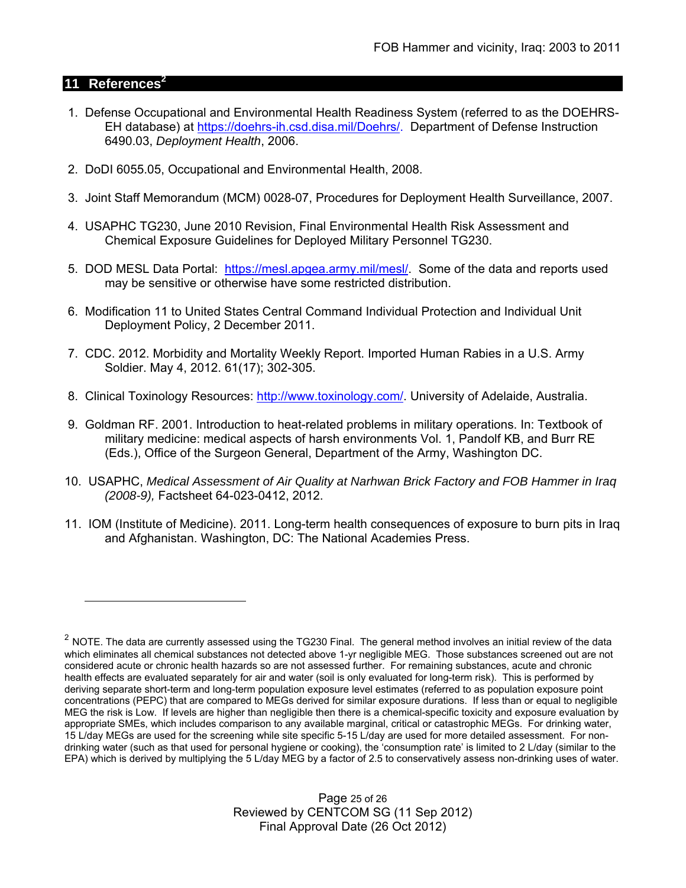## **11 References2**

 $\overline{a}$ 

- 1. Defense Occupational and Environmental Health Readiness System (referred to as the DOEHRS- EH database) at https://doehrs-ih.csd.disa.mil/Doehrs/. Department of Defense Instruction 6490.03, *Deployment Health*, 2006.
- 2. DoDI 6055.05, Occupational and Environmental Health, 2008.
- 3. Joint Staff Memorandum (MCM) 0028-07, Procedures for Deployment Health Surveillance, 2007.
- 4. USAPHC TG230, June 2010 Revision, Final Environmental Health Risk Assessment and Chemical Exposure Guidelines for Deployed Military Personnel TG230.
- 5. DOD MESL Data Portal: https://mesl.apgea.army.mil/mesl/. Some of the data and reports used may be sensitive or otherwise have some restricted distribution.
- 6. Modification 11 to United States Central Command Individual Protection and Individual Unit Deployment Policy, 2 December 2011.
- 7. CDC. 2012. Morbidity and Mortality Weekly Report. Imported Human Rabies in a U.S. Army Soldier. May 4, 2012. 61(17); 302-305.
- 8. Clinical Toxinology Resources: http://www.toxinology.com/. University of Adelaide, Australia.
- 9. Goldman RF. 2001. Introduction to heat-related problems in military operations. In: Textbook of military medicine: medical aspects of harsh environments Vol. 1, Pandolf KB, and Burr RE (Eds.), Office of the Surgeon General, Department of the Army, Washington DC.
- 10. USAPHC, *Medical Assessment of Air Quality at Narhwan Brick Factory and FOB Hammer in Iraq (2008-9),* Factsheet 64-023-0412, 2012.
- 11. IOM (Institute of Medicine). 2011. Long-term health consequences of exposure to burn pits in Iraq and Afghanistan. Washington, DC: The National Academies Press.

Page 25 of 26 Reviewed by CENTCOM SG (11 Sep 2012) Final Approval Date (26 Oct 2012)

 $2$  NOTE. The data are currently assessed using the TG230 Final. The general method involves an initial review of the data which eliminates all chemical substances not detected above 1-yr negligible MEG. Those substances screened out are not considered acute or chronic health hazards so are not assessed further. For remaining substances, acute and chronic health effects are evaluated separately for air and water (soil is only evaluated for long-term risk). This is performed by deriving separate short-term and long-term population exposure level estimates (referred to as population exposure point concentrations (PEPC) that are compared to MEGs derived for similar exposure durations. If less than or equal to negligible MEG the risk is Low. If levels are higher than negligible then there is a chemical-specific toxicity and exposure evaluation by appropriate SMEs, which includes comparison to any available marginal, critical or catastrophic MEGs. For drinking water, 15 L/day MEGs are used for the screening while site specific 5-15 L/day are used for more detailed assessment. For nondrinking water (such as that used for personal hygiene or cooking), the 'consumption rate' is limited to 2 L/day (similar to the EPA) which is derived by multiplying the 5 L/day MEG by a factor of 2.5 to conservatively assess non-drinking uses of water.